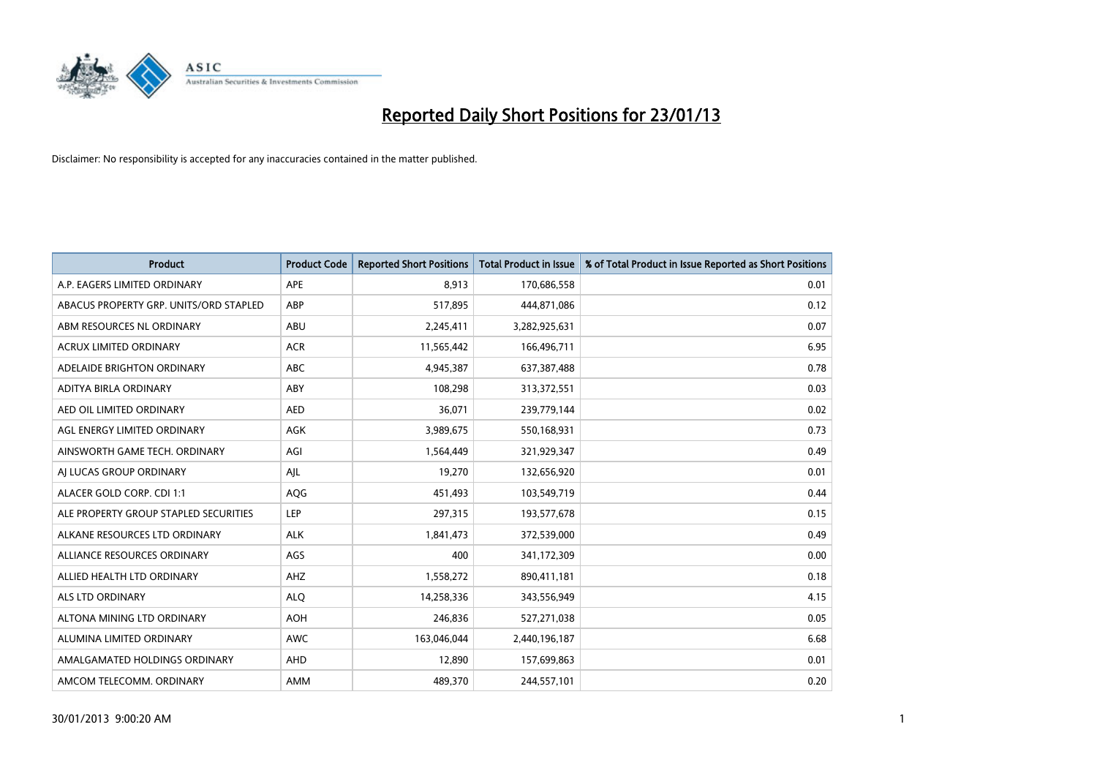

| <b>Product</b>                         | <b>Product Code</b> | <b>Reported Short Positions</b> | <b>Total Product in Issue</b> | % of Total Product in Issue Reported as Short Positions |
|----------------------------------------|---------------------|---------------------------------|-------------------------------|---------------------------------------------------------|
| A.P. EAGERS LIMITED ORDINARY           | APE                 | 8,913                           | 170,686,558                   | 0.01                                                    |
| ABACUS PROPERTY GRP. UNITS/ORD STAPLED | <b>ABP</b>          | 517,895                         | 444,871,086                   | 0.12                                                    |
| ABM RESOURCES NL ORDINARY              | <b>ABU</b>          | 2,245,411                       | 3,282,925,631                 | 0.07                                                    |
| ACRUX LIMITED ORDINARY                 | <b>ACR</b>          | 11,565,442                      | 166,496,711                   | 6.95                                                    |
| ADELAIDE BRIGHTON ORDINARY             | <b>ABC</b>          | 4,945,387                       | 637,387,488                   | 0.78                                                    |
| ADITYA BIRLA ORDINARY                  | ABY                 | 108,298                         | 313,372,551                   | 0.03                                                    |
| AED OIL LIMITED ORDINARY               | <b>AED</b>          | 36,071                          | 239,779,144                   | 0.02                                                    |
| AGL ENERGY LIMITED ORDINARY            | <b>AGK</b>          | 3,989,675                       | 550,168,931                   | 0.73                                                    |
| AINSWORTH GAME TECH. ORDINARY          | AGI                 | 1,564,449                       | 321,929,347                   | 0.49                                                    |
| AI LUCAS GROUP ORDINARY                | AIL                 | 19,270                          | 132,656,920                   | 0.01                                                    |
| ALACER GOLD CORP. CDI 1:1              | AQG                 | 451,493                         | 103,549,719                   | 0.44                                                    |
| ALE PROPERTY GROUP STAPLED SECURITIES  | LEP                 | 297,315                         | 193,577,678                   | 0.15                                                    |
| ALKANE RESOURCES LTD ORDINARY          | <b>ALK</b>          | 1,841,473                       | 372,539,000                   | 0.49                                                    |
| ALLIANCE RESOURCES ORDINARY            | AGS                 | 400                             | 341,172,309                   | 0.00                                                    |
| ALLIED HEALTH LTD ORDINARY             | AHZ                 | 1,558,272                       | 890,411,181                   | 0.18                                                    |
| ALS LTD ORDINARY                       | <b>ALQ</b>          | 14,258,336                      | 343,556,949                   | 4.15                                                    |
| ALTONA MINING LTD ORDINARY             | <b>AOH</b>          | 246,836                         | 527,271,038                   | 0.05                                                    |
| ALUMINA LIMITED ORDINARY               | <b>AWC</b>          | 163,046,044                     | 2,440,196,187                 | 6.68                                                    |
| AMALGAMATED HOLDINGS ORDINARY          | <b>AHD</b>          | 12,890                          | 157,699,863                   | 0.01                                                    |
| AMCOM TELECOMM, ORDINARY               | <b>AMM</b>          | 489.370                         | 244,557,101                   | 0.20                                                    |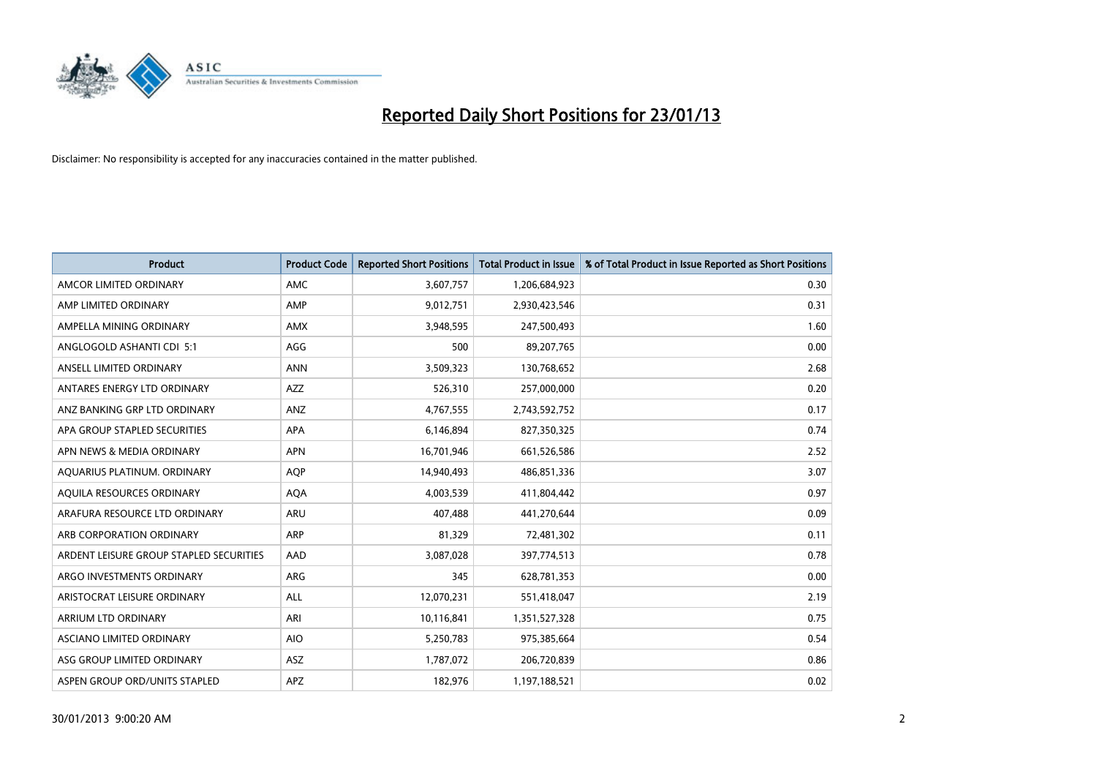

| <b>Product</b>                          | <b>Product Code</b> | <b>Reported Short Positions</b> | <b>Total Product in Issue</b> | % of Total Product in Issue Reported as Short Positions |
|-----------------------------------------|---------------------|---------------------------------|-------------------------------|---------------------------------------------------------|
| AMCOR LIMITED ORDINARY                  | <b>AMC</b>          | 3,607,757                       | 1,206,684,923                 | 0.30                                                    |
| AMP LIMITED ORDINARY                    | AMP                 | 9,012,751                       | 2,930,423,546                 | 0.31                                                    |
| AMPELLA MINING ORDINARY                 | <b>AMX</b>          | 3,948,595                       | 247,500,493                   | 1.60                                                    |
| ANGLOGOLD ASHANTI CDI 5:1               | AGG                 | 500                             | 89,207,765                    | 0.00                                                    |
| ANSELL LIMITED ORDINARY                 | <b>ANN</b>          | 3,509,323                       | 130,768,652                   | 2.68                                                    |
| ANTARES ENERGY LTD ORDINARY             | <b>AZZ</b>          | 526,310                         | 257,000,000                   | 0.20                                                    |
| ANZ BANKING GRP LTD ORDINARY            | ANZ                 | 4,767,555                       | 2,743,592,752                 | 0.17                                                    |
| APA GROUP STAPLED SECURITIES            | <b>APA</b>          | 6,146,894                       | 827,350,325                   | 0.74                                                    |
| APN NEWS & MEDIA ORDINARY               | <b>APN</b>          | 16,701,946                      | 661,526,586                   | 2.52                                                    |
| AQUARIUS PLATINUM. ORDINARY             | <b>AOP</b>          | 14,940,493                      | 486,851,336                   | 3.07                                                    |
| AQUILA RESOURCES ORDINARY               | <b>AQA</b>          | 4,003,539                       | 411,804,442                   | 0.97                                                    |
| ARAFURA RESOURCE LTD ORDINARY           | <b>ARU</b>          | 407,488                         | 441,270,644                   | 0.09                                                    |
| ARB CORPORATION ORDINARY                | <b>ARP</b>          | 81,329                          | 72,481,302                    | 0.11                                                    |
| ARDENT LEISURE GROUP STAPLED SECURITIES | AAD                 | 3,087,028                       | 397,774,513                   | 0.78                                                    |
| ARGO INVESTMENTS ORDINARY               | <b>ARG</b>          | 345                             | 628,781,353                   | 0.00                                                    |
| ARISTOCRAT LEISURE ORDINARY             | ALL                 | 12,070,231                      | 551,418,047                   | 2.19                                                    |
| ARRIUM LTD ORDINARY                     | ARI                 | 10,116,841                      | 1,351,527,328                 | 0.75                                                    |
| ASCIANO LIMITED ORDINARY                | <b>AIO</b>          | 5,250,783                       | 975,385,664                   | 0.54                                                    |
| ASG GROUP LIMITED ORDINARY              | <b>ASZ</b>          | 1,787,072                       | 206,720,839                   | 0.86                                                    |
| ASPEN GROUP ORD/UNITS STAPLED           | <b>APZ</b>          | 182.976                         | 1,197,188,521                 | 0.02                                                    |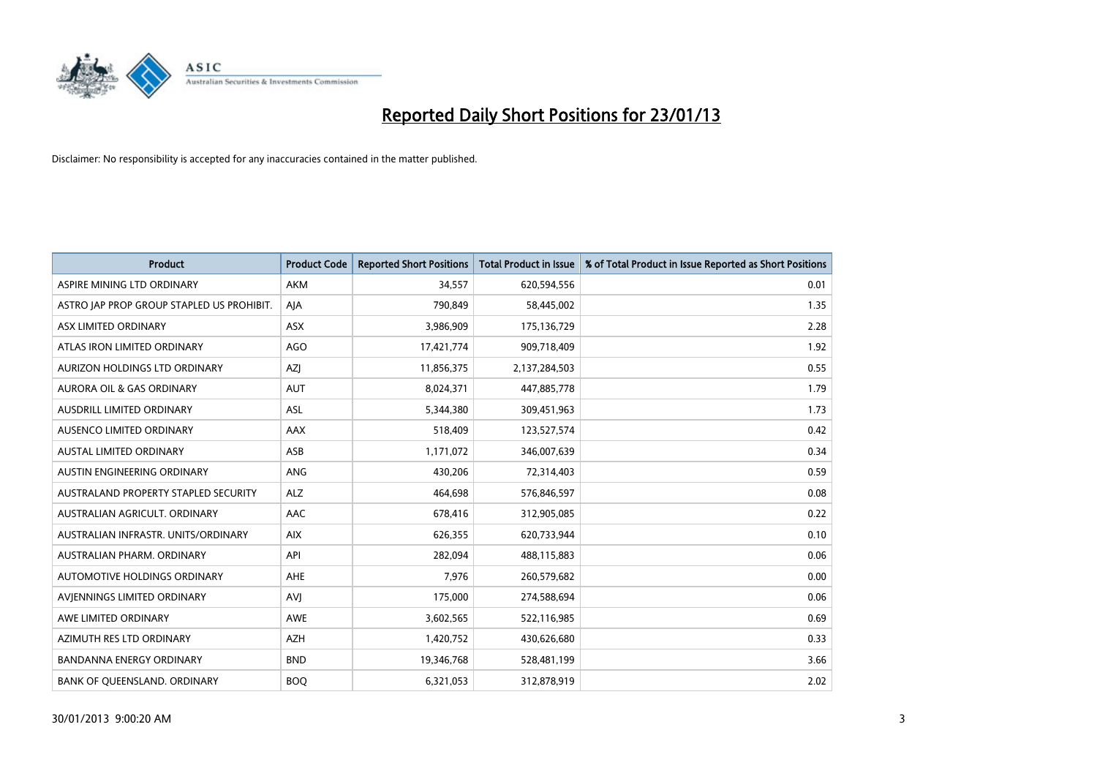

| <b>Product</b>                            | <b>Product Code</b> | <b>Reported Short Positions</b> | <b>Total Product in Issue</b> | % of Total Product in Issue Reported as Short Positions |
|-------------------------------------------|---------------------|---------------------------------|-------------------------------|---------------------------------------------------------|
| ASPIRE MINING LTD ORDINARY                | <b>AKM</b>          | 34,557                          | 620,594,556                   | 0.01                                                    |
| ASTRO JAP PROP GROUP STAPLED US PROHIBIT. | AJA                 | 790,849                         | 58,445,002                    | 1.35                                                    |
| ASX LIMITED ORDINARY                      | <b>ASX</b>          | 3,986,909                       | 175,136,729                   | 2.28                                                    |
| ATLAS IRON LIMITED ORDINARY               | AGO                 | 17,421,774                      | 909,718,409                   | 1.92                                                    |
| AURIZON HOLDINGS LTD ORDINARY             | <b>AZI</b>          | 11,856,375                      | 2,137,284,503                 | 0.55                                                    |
| <b>AURORA OIL &amp; GAS ORDINARY</b>      | <b>AUT</b>          | 8,024,371                       | 447,885,778                   | 1.79                                                    |
| AUSDRILL LIMITED ORDINARY                 | <b>ASL</b>          | 5,344,380                       | 309,451,963                   | 1.73                                                    |
| AUSENCO LIMITED ORDINARY                  | AAX                 | 518,409                         | 123,527,574                   | 0.42                                                    |
| <b>AUSTAL LIMITED ORDINARY</b>            | ASB                 | 1,171,072                       | 346,007,639                   | 0.34                                                    |
| AUSTIN ENGINEERING ORDINARY               | ANG                 | 430,206                         | 72,314,403                    | 0.59                                                    |
| AUSTRALAND PROPERTY STAPLED SECURITY      | <b>ALZ</b>          | 464,698                         | 576,846,597                   | 0.08                                                    |
| AUSTRALIAN AGRICULT, ORDINARY             | AAC                 | 678,416                         | 312,905,085                   | 0.22                                                    |
| AUSTRALIAN INFRASTR. UNITS/ORDINARY       | <b>AIX</b>          | 626,355                         | 620,733,944                   | 0.10                                                    |
| AUSTRALIAN PHARM. ORDINARY                | API                 | 282,094                         | 488,115,883                   | 0.06                                                    |
| AUTOMOTIVE HOLDINGS ORDINARY              | <b>AHE</b>          | 7,976                           | 260,579,682                   | 0.00                                                    |
| AVIENNINGS LIMITED ORDINARY               | AVI                 | 175,000                         | 274,588,694                   | 0.06                                                    |
| AWE LIMITED ORDINARY                      | AWE                 | 3,602,565                       | 522,116,985                   | 0.69                                                    |
| AZIMUTH RES LTD ORDINARY                  | <b>AZH</b>          | 1,420,752                       | 430,626,680                   | 0.33                                                    |
| <b>BANDANNA ENERGY ORDINARY</b>           | <b>BND</b>          | 19,346,768                      | 528,481,199                   | 3.66                                                    |
| BANK OF QUEENSLAND. ORDINARY              | <b>BOQ</b>          | 6,321,053                       | 312,878,919                   | 2.02                                                    |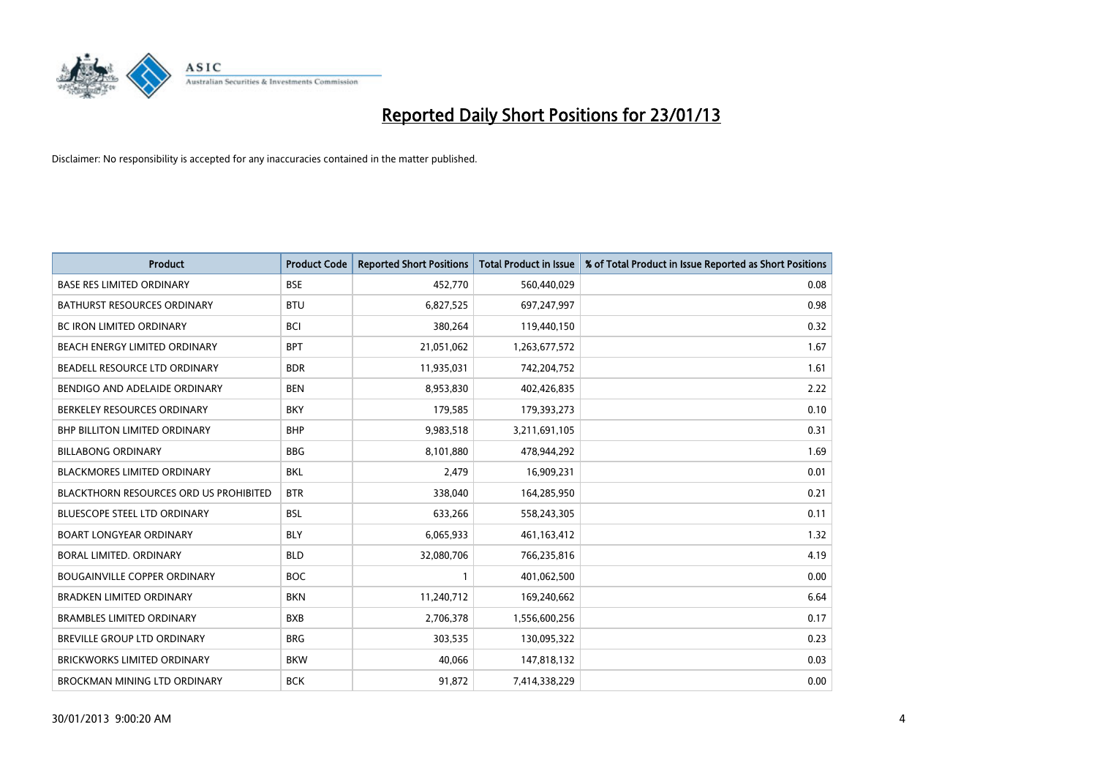

| <b>Product</b>                                | <b>Product Code</b> | <b>Reported Short Positions</b> | <b>Total Product in Issue</b> | % of Total Product in Issue Reported as Short Positions |
|-----------------------------------------------|---------------------|---------------------------------|-------------------------------|---------------------------------------------------------|
| <b>BASE RES LIMITED ORDINARY</b>              | <b>BSE</b>          | 452,770                         | 560,440,029                   | 0.08                                                    |
| <b>BATHURST RESOURCES ORDINARY</b>            | <b>BTU</b>          | 6,827,525                       | 697,247,997                   | 0.98                                                    |
| <b>BC IRON LIMITED ORDINARY</b>               | <b>BCI</b>          | 380,264                         | 119,440,150                   | 0.32                                                    |
| BEACH ENERGY LIMITED ORDINARY                 | <b>BPT</b>          | 21,051,062                      | 1,263,677,572                 | 1.67                                                    |
| BEADELL RESOURCE LTD ORDINARY                 | <b>BDR</b>          | 11,935,031                      | 742,204,752                   | 1.61                                                    |
| BENDIGO AND ADELAIDE ORDINARY                 | <b>BEN</b>          | 8,953,830                       | 402,426,835                   | 2.22                                                    |
| BERKELEY RESOURCES ORDINARY                   | <b>BKY</b>          | 179,585                         | 179,393,273                   | 0.10                                                    |
| <b>BHP BILLITON LIMITED ORDINARY</b>          | <b>BHP</b>          | 9,983,518                       | 3,211,691,105                 | 0.31                                                    |
| <b>BILLABONG ORDINARY</b>                     | <b>BBG</b>          | 8,101,880                       | 478,944,292                   | 1.69                                                    |
| <b>BLACKMORES LIMITED ORDINARY</b>            | <b>BKL</b>          | 2,479                           | 16,909,231                    | 0.01                                                    |
| <b>BLACKTHORN RESOURCES ORD US PROHIBITED</b> | <b>BTR</b>          | 338,040                         | 164,285,950                   | 0.21                                                    |
| BLUESCOPE STEEL LTD ORDINARY                  | <b>BSL</b>          | 633,266                         | 558,243,305                   | 0.11                                                    |
| <b>BOART LONGYEAR ORDINARY</b>                | <b>BLY</b>          | 6,065,933                       | 461,163,412                   | 1.32                                                    |
| BORAL LIMITED, ORDINARY                       | <b>BLD</b>          | 32,080,706                      | 766,235,816                   | 4.19                                                    |
| <b>BOUGAINVILLE COPPER ORDINARY</b>           | <b>BOC</b>          |                                 | 401,062,500                   | 0.00                                                    |
| <b>BRADKEN LIMITED ORDINARY</b>               | <b>BKN</b>          | 11,240,712                      | 169,240,662                   | 6.64                                                    |
| <b>BRAMBLES LIMITED ORDINARY</b>              | <b>BXB</b>          | 2,706,378                       | 1,556,600,256                 | 0.17                                                    |
| BREVILLE GROUP LTD ORDINARY                   | <b>BRG</b>          | 303,535                         | 130,095,322                   | 0.23                                                    |
| <b>BRICKWORKS LIMITED ORDINARY</b>            | <b>BKW</b>          | 40,066                          | 147,818,132                   | 0.03                                                    |
| BROCKMAN MINING LTD ORDINARY                  | <b>BCK</b>          | 91,872                          | 7,414,338,229                 | 0.00                                                    |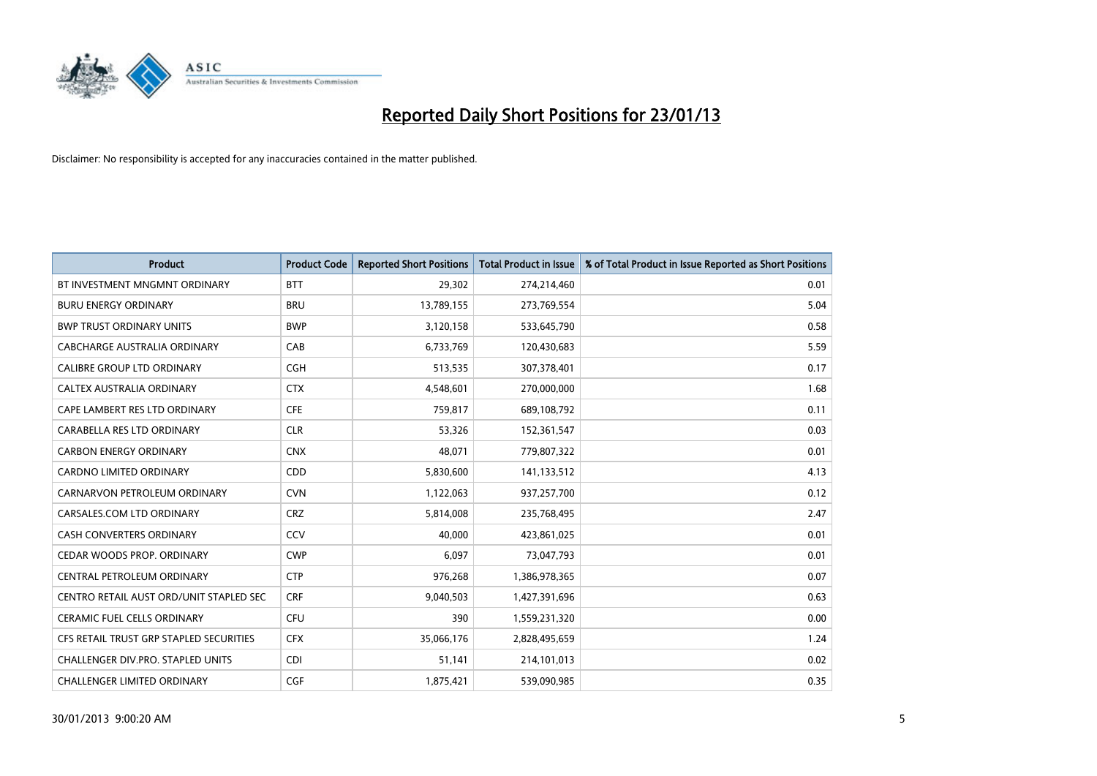

| <b>Product</b>                          | <b>Product Code</b> | <b>Reported Short Positions</b> | <b>Total Product in Issue</b> | % of Total Product in Issue Reported as Short Positions |
|-----------------------------------------|---------------------|---------------------------------|-------------------------------|---------------------------------------------------------|
| BT INVESTMENT MNGMNT ORDINARY           | <b>BTT</b>          | 29,302                          | 274,214,460                   | 0.01                                                    |
| <b>BURU ENERGY ORDINARY</b>             | <b>BRU</b>          | 13,789,155                      | 273,769,554                   | 5.04                                                    |
| <b>BWP TRUST ORDINARY UNITS</b>         | <b>BWP</b>          | 3,120,158                       | 533,645,790                   | 0.58                                                    |
| CABCHARGE AUSTRALIA ORDINARY            | CAB                 | 6,733,769                       | 120,430,683                   | 5.59                                                    |
| <b>CALIBRE GROUP LTD ORDINARY</b>       | <b>CGH</b>          | 513,535                         | 307,378,401                   | 0.17                                                    |
| CALTEX AUSTRALIA ORDINARY               | <b>CTX</b>          | 4,548,601                       | 270,000,000                   | 1.68                                                    |
| CAPE LAMBERT RES LTD ORDINARY           | <b>CFE</b>          | 759,817                         | 689,108,792                   | 0.11                                                    |
| CARABELLA RES LTD ORDINARY              | <b>CLR</b>          | 53,326                          | 152,361,547                   | 0.03                                                    |
| <b>CARBON ENERGY ORDINARY</b>           | <b>CNX</b>          | 48,071                          | 779,807,322                   | 0.01                                                    |
| <b>CARDNO LIMITED ORDINARY</b>          | <b>CDD</b>          | 5,830,600                       | 141,133,512                   | 4.13                                                    |
| CARNARVON PETROLEUM ORDINARY            | <b>CVN</b>          | 1,122,063                       | 937,257,700                   | 0.12                                                    |
| CARSALES.COM LTD ORDINARY               | <b>CRZ</b>          | 5,814,008                       | 235,768,495                   | 2.47                                                    |
| CASH CONVERTERS ORDINARY                | CCV                 | 40,000                          | 423,861,025                   | 0.01                                                    |
| CEDAR WOODS PROP. ORDINARY              | <b>CWP</b>          | 6,097                           | 73,047,793                    | 0.01                                                    |
| CENTRAL PETROLEUM ORDINARY              | <b>CTP</b>          | 976,268                         | 1,386,978,365                 | 0.07                                                    |
| CENTRO RETAIL AUST ORD/UNIT STAPLED SEC | <b>CRF</b>          | 9,040,503                       | 1,427,391,696                 | 0.63                                                    |
| <b>CERAMIC FUEL CELLS ORDINARY</b>      | CFU                 | 390                             | 1,559,231,320                 | 0.00                                                    |
| CFS RETAIL TRUST GRP STAPLED SECURITIES | <b>CFX</b>          | 35,066,176                      | 2,828,495,659                 | 1.24                                                    |
| CHALLENGER DIV.PRO. STAPLED UNITS       | <b>CDI</b>          | 51,141                          | 214,101,013                   | 0.02                                                    |
| CHALLENGER LIMITED ORDINARY             | <b>CGF</b>          | 1,875,421                       | 539,090,985                   | 0.35                                                    |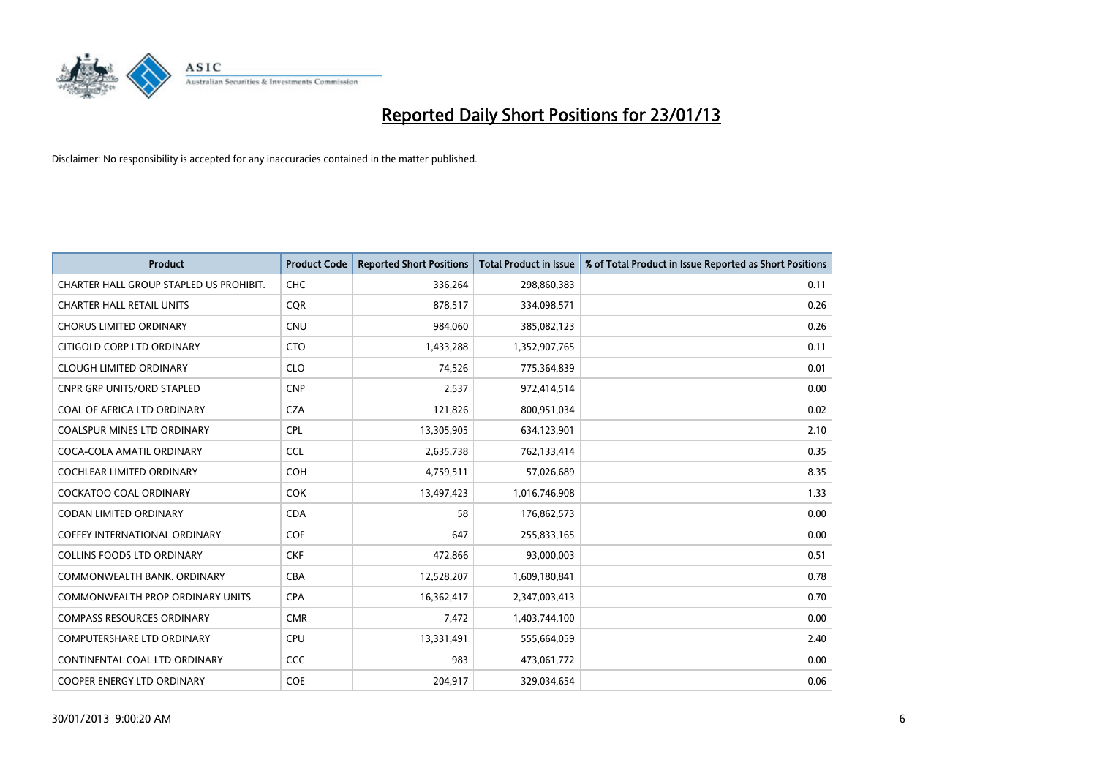

| <b>Product</b>                          | <b>Product Code</b> | <b>Reported Short Positions</b> | <b>Total Product in Issue</b> | % of Total Product in Issue Reported as Short Positions |
|-----------------------------------------|---------------------|---------------------------------|-------------------------------|---------------------------------------------------------|
| CHARTER HALL GROUP STAPLED US PROHIBIT. | <b>CHC</b>          | 336,264                         | 298,860,383                   | 0.11                                                    |
| <b>CHARTER HALL RETAIL UNITS</b>        | <b>COR</b>          | 878,517                         | 334,098,571                   | 0.26                                                    |
| <b>CHORUS LIMITED ORDINARY</b>          | <b>CNU</b>          | 984,060                         | 385,082,123                   | 0.26                                                    |
| CITIGOLD CORP LTD ORDINARY              | <b>CTO</b>          | 1,433,288                       | 1,352,907,765                 | 0.11                                                    |
| <b>CLOUGH LIMITED ORDINARY</b>          | <b>CLO</b>          | 74,526                          | 775,364,839                   | 0.01                                                    |
| <b>CNPR GRP UNITS/ORD STAPLED</b>       | <b>CNP</b>          | 2,537                           | 972,414,514                   | 0.00                                                    |
| COAL OF AFRICA LTD ORDINARY             | <b>CZA</b>          | 121,826                         | 800,951,034                   | 0.02                                                    |
| <b>COALSPUR MINES LTD ORDINARY</b>      | <b>CPL</b>          | 13,305,905                      | 634,123,901                   | 2.10                                                    |
| COCA-COLA AMATIL ORDINARY               | <b>CCL</b>          | 2,635,738                       | 762,133,414                   | 0.35                                                    |
| <b>COCHLEAR LIMITED ORDINARY</b>        | <b>COH</b>          | 4,759,511                       | 57,026,689                    | 8.35                                                    |
| COCKATOO COAL ORDINARY                  | <b>COK</b>          | 13,497,423                      | 1,016,746,908                 | 1.33                                                    |
| <b>CODAN LIMITED ORDINARY</b>           | <b>CDA</b>          | 58                              | 176,862,573                   | 0.00                                                    |
| <b>COFFEY INTERNATIONAL ORDINARY</b>    | <b>COF</b>          | 647                             | 255,833,165                   | 0.00                                                    |
| <b>COLLINS FOODS LTD ORDINARY</b>       | <b>CKF</b>          | 472,866                         | 93,000,003                    | 0.51                                                    |
| COMMONWEALTH BANK, ORDINARY             | <b>CBA</b>          | 12,528,207                      | 1,609,180,841                 | 0.78                                                    |
| COMMONWEALTH PROP ORDINARY UNITS        | <b>CPA</b>          | 16,362,417                      | 2,347,003,413                 | 0.70                                                    |
| <b>COMPASS RESOURCES ORDINARY</b>       | <b>CMR</b>          | 7,472                           | 1,403,744,100                 | 0.00                                                    |
| <b>COMPUTERSHARE LTD ORDINARY</b>       | <b>CPU</b>          | 13,331,491                      | 555,664,059                   | 2.40                                                    |
| CONTINENTAL COAL LTD ORDINARY           | <b>CCC</b>          | 983                             | 473,061,772                   | 0.00                                                    |
| <b>COOPER ENERGY LTD ORDINARY</b>       | <b>COE</b>          | 204.917                         | 329,034,654                   | 0.06                                                    |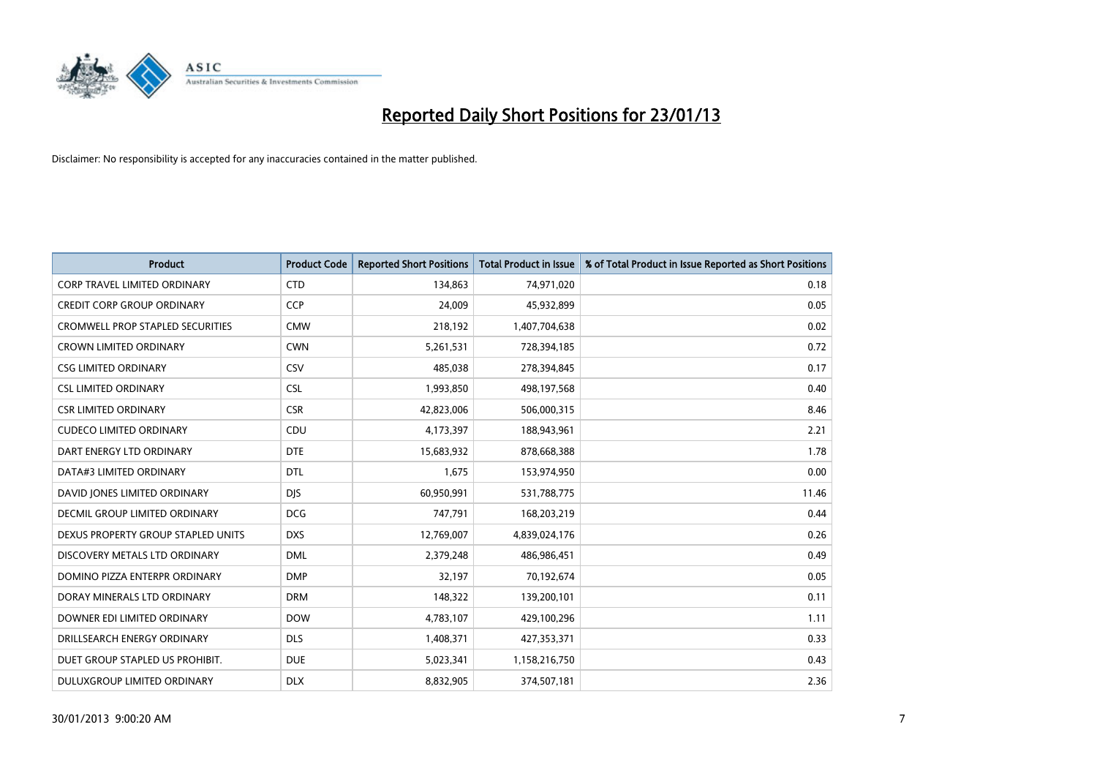

| <b>Product</b>                          | <b>Product Code</b> | <b>Reported Short Positions</b> | <b>Total Product in Issue</b> | % of Total Product in Issue Reported as Short Positions |
|-----------------------------------------|---------------------|---------------------------------|-------------------------------|---------------------------------------------------------|
| <b>CORP TRAVEL LIMITED ORDINARY</b>     | <b>CTD</b>          | 134,863                         | 74,971,020                    | 0.18                                                    |
| <b>CREDIT CORP GROUP ORDINARY</b>       | <b>CCP</b>          | 24,009                          | 45,932,899                    | 0.05                                                    |
| <b>CROMWELL PROP STAPLED SECURITIES</b> | <b>CMW</b>          | 218,192                         | 1,407,704,638                 | 0.02                                                    |
| <b>CROWN LIMITED ORDINARY</b>           | <b>CWN</b>          | 5,261,531                       | 728,394,185                   | 0.72                                                    |
| <b>CSG LIMITED ORDINARY</b>             | CSV                 | 485,038                         | 278,394,845                   | 0.17                                                    |
| <b>CSL LIMITED ORDINARY</b>             | <b>CSL</b>          | 1,993,850                       | 498,197,568                   | 0.40                                                    |
| <b>CSR LIMITED ORDINARY</b>             | <b>CSR</b>          | 42,823,006                      | 506,000,315                   | 8.46                                                    |
| <b>CUDECO LIMITED ORDINARY</b>          | CDU                 | 4,173,397                       | 188,943,961                   | 2.21                                                    |
| DART ENERGY LTD ORDINARY                | <b>DTE</b>          | 15,683,932                      | 878,668,388                   | 1.78                                                    |
| DATA#3 LIMITED ORDINARY                 | <b>DTL</b>          | 1,675                           | 153,974,950                   | 0.00                                                    |
| DAVID JONES LIMITED ORDINARY            | <b>DIS</b>          | 60,950,991                      | 531,788,775                   | 11.46                                                   |
| <b>DECMIL GROUP LIMITED ORDINARY</b>    | <b>DCG</b>          | 747,791                         | 168,203,219                   | 0.44                                                    |
| DEXUS PROPERTY GROUP STAPLED UNITS      | <b>DXS</b>          | 12,769,007                      | 4,839,024,176                 | 0.26                                                    |
| DISCOVERY METALS LTD ORDINARY           | <b>DML</b>          | 2,379,248                       | 486,986,451                   | 0.49                                                    |
| DOMINO PIZZA ENTERPR ORDINARY           | <b>DMP</b>          | 32,197                          | 70,192,674                    | 0.05                                                    |
| DORAY MINERALS LTD ORDINARY             | <b>DRM</b>          | 148,322                         | 139,200,101                   | 0.11                                                    |
| DOWNER EDI LIMITED ORDINARY             | <b>DOW</b>          | 4,783,107                       | 429,100,296                   | 1.11                                                    |
| DRILLSEARCH ENERGY ORDINARY             | <b>DLS</b>          | 1,408,371                       | 427,353,371                   | 0.33                                                    |
| DUET GROUP STAPLED US PROHIBIT.         | <b>DUE</b>          | 5,023,341                       | 1,158,216,750                 | 0.43                                                    |
| DULUXGROUP LIMITED ORDINARY             | <b>DLX</b>          | 8,832,905                       | 374,507,181                   | 2.36                                                    |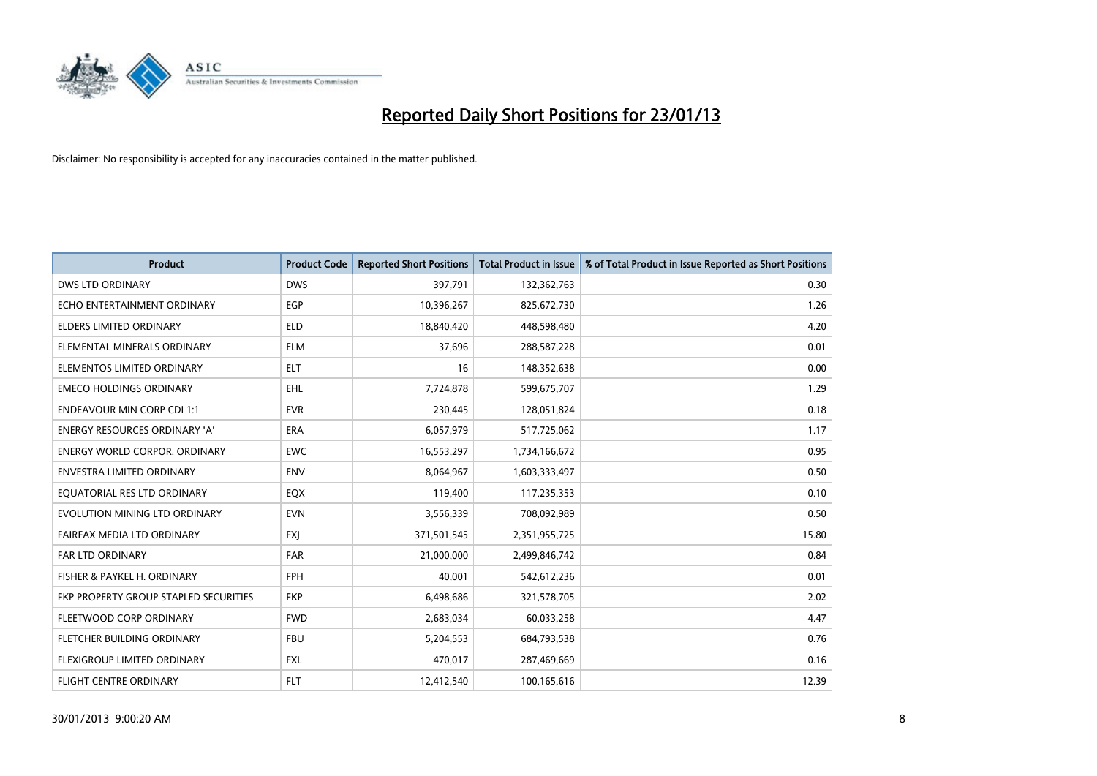

| <b>Product</b>                        | <b>Product Code</b> | <b>Reported Short Positions</b> | <b>Total Product in Issue</b> | % of Total Product in Issue Reported as Short Positions |
|---------------------------------------|---------------------|---------------------------------|-------------------------------|---------------------------------------------------------|
| <b>DWS LTD ORDINARY</b>               | <b>DWS</b>          | 397,791                         | 132,362,763                   | 0.30                                                    |
| ECHO ENTERTAINMENT ORDINARY           | <b>EGP</b>          | 10,396,267                      | 825,672,730                   | 1.26                                                    |
| <b>ELDERS LIMITED ORDINARY</b>        | <b>ELD</b>          | 18,840,420                      | 448,598,480                   | 4.20                                                    |
| ELEMENTAL MINERALS ORDINARY           | <b>ELM</b>          | 37,696                          | 288,587,228                   | 0.01                                                    |
| ELEMENTOS LIMITED ORDINARY            | <b>ELT</b>          | 16                              | 148,352,638                   | 0.00                                                    |
| <b>EMECO HOLDINGS ORDINARY</b>        | EHL.                | 7,724,878                       | 599,675,707                   | 1.29                                                    |
| <b>ENDEAVOUR MIN CORP CDI 1:1</b>     | <b>EVR</b>          | 230,445                         | 128,051,824                   | 0.18                                                    |
| <b>ENERGY RESOURCES ORDINARY 'A'</b>  | <b>ERA</b>          | 6,057,979                       | 517,725,062                   | 1.17                                                    |
| <b>ENERGY WORLD CORPOR. ORDINARY</b>  | <b>EWC</b>          | 16,553,297                      | 1,734,166,672                 | 0.95                                                    |
| <b>ENVESTRA LIMITED ORDINARY</b>      | <b>ENV</b>          | 8,064,967                       | 1,603,333,497                 | 0.50                                                    |
| EQUATORIAL RES LTD ORDINARY           | EQX                 | 119,400                         | 117,235,353                   | 0.10                                                    |
| EVOLUTION MINING LTD ORDINARY         | <b>EVN</b>          | 3,556,339                       | 708,092,989                   | 0.50                                                    |
| FAIRFAX MEDIA LTD ORDINARY            | <b>FXI</b>          | 371,501,545                     | 2,351,955,725                 | 15.80                                                   |
| <b>FAR LTD ORDINARY</b>               | <b>FAR</b>          | 21,000,000                      | 2,499,846,742                 | 0.84                                                    |
| FISHER & PAYKEL H. ORDINARY           | <b>FPH</b>          | 40.001                          | 542,612,236                   | 0.01                                                    |
| FKP PROPERTY GROUP STAPLED SECURITIES | <b>FKP</b>          | 6,498,686                       | 321,578,705                   | 2.02                                                    |
| FLEETWOOD CORP ORDINARY               | <b>FWD</b>          | 2,683,034                       | 60,033,258                    | 4.47                                                    |
| FLETCHER BUILDING ORDINARY            | <b>FBU</b>          | 5,204,553                       | 684,793,538                   | 0.76                                                    |
| FLEXIGROUP LIMITED ORDINARY           | <b>FXL</b>          | 470,017                         | 287,469,669                   | 0.16                                                    |
| FLIGHT CENTRE ORDINARY                | <b>FLT</b>          | 12,412,540                      | 100,165,616                   | 12.39                                                   |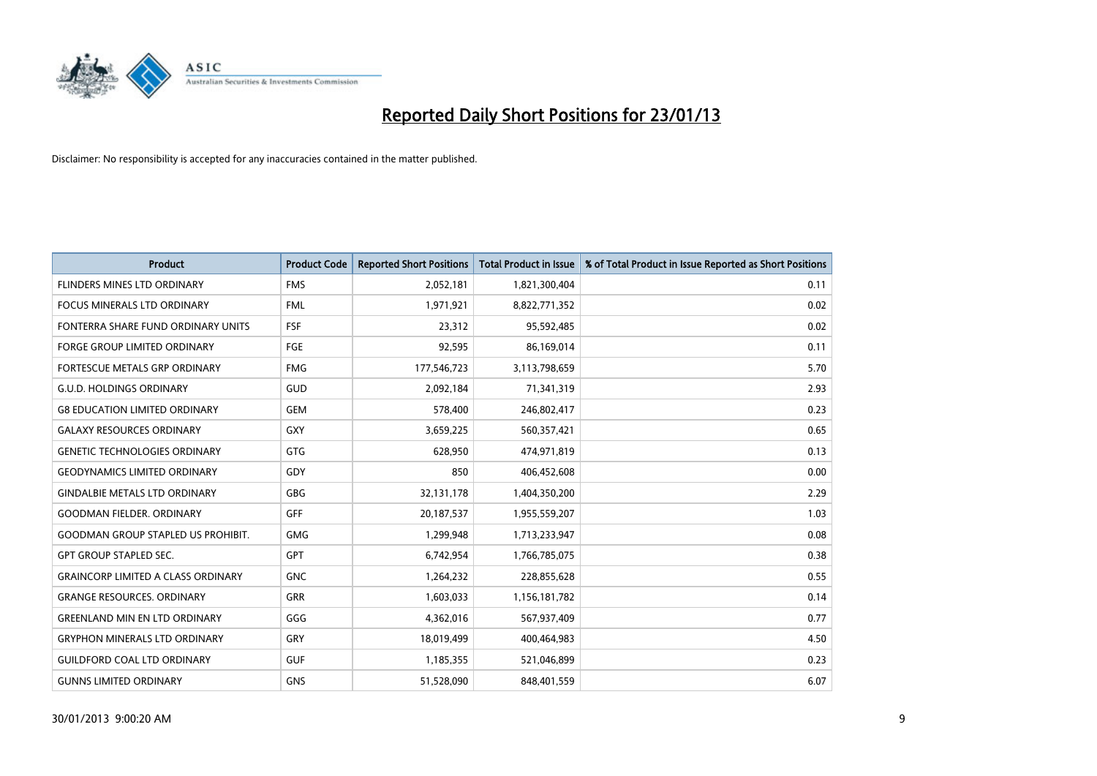

| <b>Product</b>                            | <b>Product Code</b> | <b>Reported Short Positions</b> | <b>Total Product in Issue</b> | % of Total Product in Issue Reported as Short Positions |
|-------------------------------------------|---------------------|---------------------------------|-------------------------------|---------------------------------------------------------|
| FLINDERS MINES LTD ORDINARY               | <b>FMS</b>          | 2,052,181                       | 1,821,300,404                 | 0.11                                                    |
| FOCUS MINERALS LTD ORDINARY               | <b>FML</b>          | 1,971,921                       | 8,822,771,352                 | 0.02                                                    |
| FONTERRA SHARE FUND ORDINARY UNITS        | <b>FSF</b>          | 23,312                          | 95,592,485                    | 0.02                                                    |
| FORGE GROUP LIMITED ORDINARY              | FGE                 | 92,595                          | 86,169,014                    | 0.11                                                    |
| FORTESCUE METALS GRP ORDINARY             | <b>FMG</b>          | 177,546,723                     | 3,113,798,659                 | 5.70                                                    |
| <b>G.U.D. HOLDINGS ORDINARY</b>           | GUD                 | 2,092,184                       | 71,341,319                    | 2.93                                                    |
| <b>G8 EDUCATION LIMITED ORDINARY</b>      | <b>GEM</b>          | 578,400                         | 246,802,417                   | 0.23                                                    |
| <b>GALAXY RESOURCES ORDINARY</b>          | GXY                 | 3,659,225                       | 560,357,421                   | 0.65                                                    |
| <b>GENETIC TECHNOLOGIES ORDINARY</b>      | <b>GTG</b>          | 628,950                         | 474,971,819                   | 0.13                                                    |
| <b>GEODYNAMICS LIMITED ORDINARY</b>       | GDY                 | 850                             | 406,452,608                   | 0.00                                                    |
| <b>GINDALBIE METALS LTD ORDINARY</b>      | <b>GBG</b>          | 32,131,178                      | 1,404,350,200                 | 2.29                                                    |
| <b>GOODMAN FIELDER. ORDINARY</b>          | <b>GFF</b>          | 20,187,537                      | 1,955,559,207                 | 1.03                                                    |
| <b>GOODMAN GROUP STAPLED US PROHIBIT.</b> | <b>GMG</b>          | 1,299,948                       | 1,713,233,947                 | 0.08                                                    |
| <b>GPT GROUP STAPLED SEC.</b>             | <b>GPT</b>          | 6,742,954                       | 1,766,785,075                 | 0.38                                                    |
| <b>GRAINCORP LIMITED A CLASS ORDINARY</b> | <b>GNC</b>          | 1,264,232                       | 228,855,628                   | 0.55                                                    |
| <b>GRANGE RESOURCES, ORDINARY</b>         | <b>GRR</b>          | 1,603,033                       | 1,156,181,782                 | 0.14                                                    |
| <b>GREENLAND MIN EN LTD ORDINARY</b>      | GGG                 | 4,362,016                       | 567,937,409                   | 0.77                                                    |
| <b>GRYPHON MINERALS LTD ORDINARY</b>      | GRY                 | 18,019,499                      | 400,464,983                   | 4.50                                                    |
| <b>GUILDFORD COAL LTD ORDINARY</b>        | <b>GUF</b>          | 1,185,355                       | 521,046,899                   | 0.23                                                    |
| <b>GUNNS LIMITED ORDINARY</b>             | <b>GNS</b>          | 51,528,090                      | 848,401,559                   | 6.07                                                    |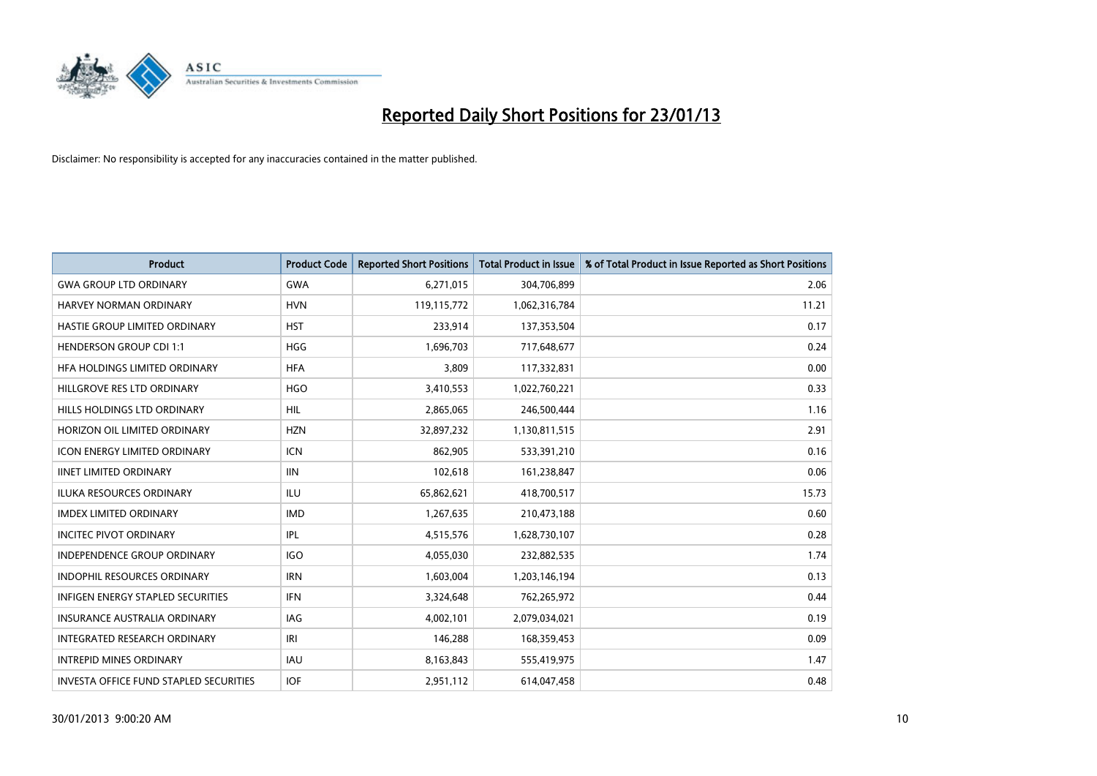

| <b>Product</b>                         | <b>Product Code</b> | <b>Reported Short Positions</b> | <b>Total Product in Issue</b> | % of Total Product in Issue Reported as Short Positions |
|----------------------------------------|---------------------|---------------------------------|-------------------------------|---------------------------------------------------------|
| <b>GWA GROUP LTD ORDINARY</b>          | <b>GWA</b>          | 6,271,015                       | 304,706,899                   | 2.06                                                    |
| HARVEY NORMAN ORDINARY                 | <b>HVN</b>          | 119,115,772                     | 1,062,316,784                 | 11.21                                                   |
| HASTIE GROUP LIMITED ORDINARY          | <b>HST</b>          | 233,914                         | 137,353,504                   | 0.17                                                    |
| <b>HENDERSON GROUP CDI 1:1</b>         | <b>HGG</b>          | 1,696,703                       | 717,648,677                   | 0.24                                                    |
| HFA HOLDINGS LIMITED ORDINARY          | <b>HFA</b>          | 3,809                           | 117,332,831                   | 0.00                                                    |
| HILLGROVE RES LTD ORDINARY             | <b>HGO</b>          | 3,410,553                       | 1,022,760,221                 | 0.33                                                    |
| HILLS HOLDINGS LTD ORDINARY            | HIL.                | 2,865,065                       | 246,500,444                   | 1.16                                                    |
| HORIZON OIL LIMITED ORDINARY           | <b>HZN</b>          | 32,897,232                      | 1,130,811,515                 | 2.91                                                    |
| <b>ICON ENERGY LIMITED ORDINARY</b>    | <b>ICN</b>          | 862,905                         | 533,391,210                   | 0.16                                                    |
| <b>IINET LIMITED ORDINARY</b>          | <b>IIN</b>          | 102,618                         | 161,238,847                   | 0.06                                                    |
| ILUKA RESOURCES ORDINARY               | ILU                 | 65,862,621                      | 418,700,517                   | 15.73                                                   |
| <b>IMDEX LIMITED ORDINARY</b>          | <b>IMD</b>          | 1,267,635                       | 210,473,188                   | 0.60                                                    |
| <b>INCITEC PIVOT ORDINARY</b>          | IPL                 | 4,515,576                       | 1,628,730,107                 | 0.28                                                    |
| <b>INDEPENDENCE GROUP ORDINARY</b>     | <b>IGO</b>          | 4,055,030                       | 232,882,535                   | 1.74                                                    |
| <b>INDOPHIL RESOURCES ORDINARY</b>     | <b>IRN</b>          | 1,603,004                       | 1,203,146,194                 | 0.13                                                    |
| INFIGEN ENERGY STAPLED SECURITIES      | <b>IFN</b>          | 3,324,648                       | 762,265,972                   | 0.44                                                    |
| INSURANCE AUSTRALIA ORDINARY           | IAG                 | 4,002,101                       | 2,079,034,021                 | 0.19                                                    |
| INTEGRATED RESEARCH ORDINARY           | IRI                 | 146,288                         | 168,359,453                   | 0.09                                                    |
| <b>INTREPID MINES ORDINARY</b>         | <b>IAU</b>          | 8,163,843                       | 555,419,975                   | 1.47                                                    |
| INVESTA OFFICE FUND STAPLED SECURITIES | <b>IOF</b>          | 2,951,112                       | 614,047,458                   | 0.48                                                    |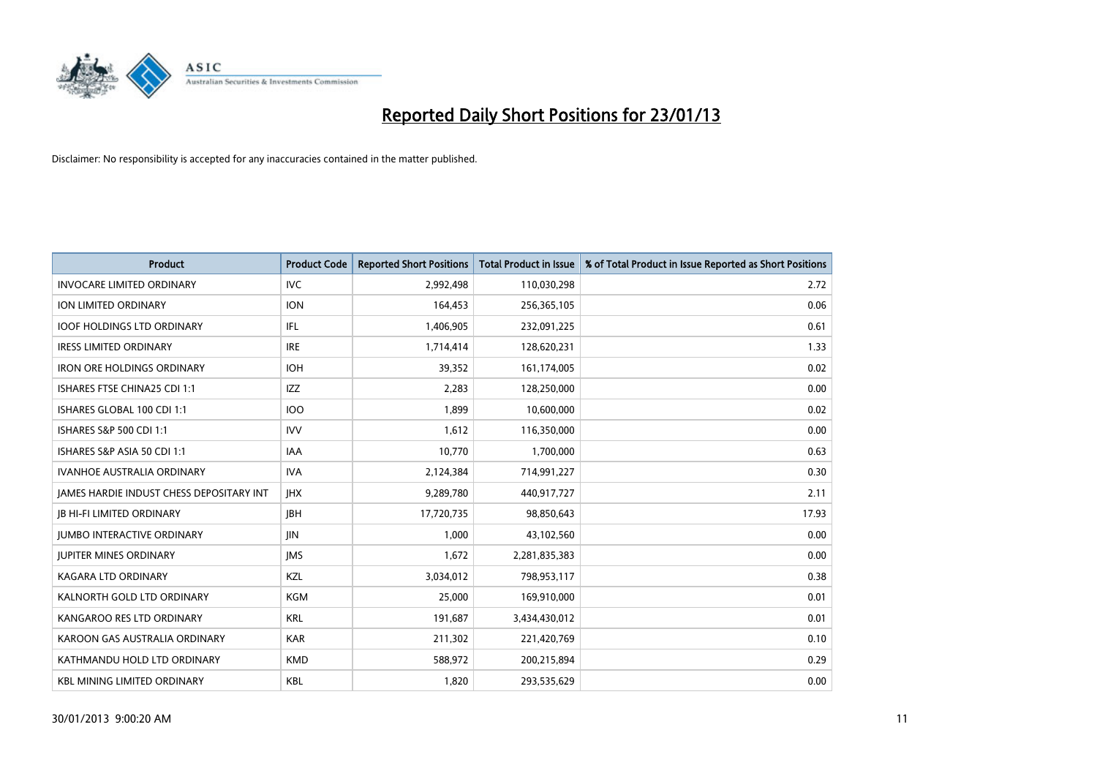

| <b>Product</b>                           | <b>Product Code</b> | <b>Reported Short Positions</b> | <b>Total Product in Issue</b> | % of Total Product in Issue Reported as Short Positions |
|------------------------------------------|---------------------|---------------------------------|-------------------------------|---------------------------------------------------------|
| <b>INVOCARE LIMITED ORDINARY</b>         | <b>IVC</b>          | 2,992,498                       | 110,030,298                   | 2.72                                                    |
| ION LIMITED ORDINARY                     | <b>ION</b>          | 164,453                         | 256,365,105                   | 0.06                                                    |
| <b>IOOF HOLDINGS LTD ORDINARY</b>        | <b>IFL</b>          | 1,406,905                       | 232,091,225                   | 0.61                                                    |
| <b>IRESS LIMITED ORDINARY</b>            | <b>IRE</b>          | 1,714,414                       | 128,620,231                   | 1.33                                                    |
| <b>IRON ORE HOLDINGS ORDINARY</b>        | <b>IOH</b>          | 39,352                          | 161,174,005                   | 0.02                                                    |
| ISHARES FTSE CHINA25 CDI 1:1             | <b>IZZ</b>          | 2,283                           | 128,250,000                   | 0.00                                                    |
| ISHARES GLOBAL 100 CDI 1:1               | <b>IOO</b>          | 1.899                           | 10,600,000                    | 0.02                                                    |
| ISHARES S&P 500 CDI 1:1                  | <b>IVV</b>          | 1,612                           | 116,350,000                   | 0.00                                                    |
| ISHARES S&P ASIA 50 CDI 1:1              | IAA                 | 10,770                          | 1,700,000                     | 0.63                                                    |
| <b>IVANHOE AUSTRALIA ORDINARY</b>        | <b>IVA</b>          | 2,124,384                       | 714,991,227                   | 0.30                                                    |
| JAMES HARDIE INDUST CHESS DEPOSITARY INT | <b>IHX</b>          | 9,289,780                       | 440,917,727                   | 2.11                                                    |
| <b>IB HI-FI LIMITED ORDINARY</b>         | <b>IBH</b>          | 17,720,735                      | 98,850,643                    | 17.93                                                   |
| <b>JUMBO INTERACTIVE ORDINARY</b>        | <b>JIN</b>          | 1,000                           | 43,102,560                    | 0.00                                                    |
| <b>JUPITER MINES ORDINARY</b>            | <b>IMS</b>          | 1,672                           | 2,281,835,383                 | 0.00                                                    |
| <b>KAGARA LTD ORDINARY</b>               | KZL                 | 3,034,012                       | 798,953,117                   | 0.38                                                    |
| KALNORTH GOLD LTD ORDINARY               | KGM                 | 25,000                          | 169,910,000                   | 0.01                                                    |
| KANGAROO RES LTD ORDINARY                | <b>KRL</b>          | 191,687                         | 3,434,430,012                 | 0.01                                                    |
| KAROON GAS AUSTRALIA ORDINARY            | <b>KAR</b>          | 211,302                         | 221,420,769                   | 0.10                                                    |
| KATHMANDU HOLD LTD ORDINARY              | <b>KMD</b>          | 588,972                         | 200,215,894                   | 0.29                                                    |
| <b>KBL MINING LIMITED ORDINARY</b>       | <b>KBL</b>          | 1,820                           | 293,535,629                   | 0.00                                                    |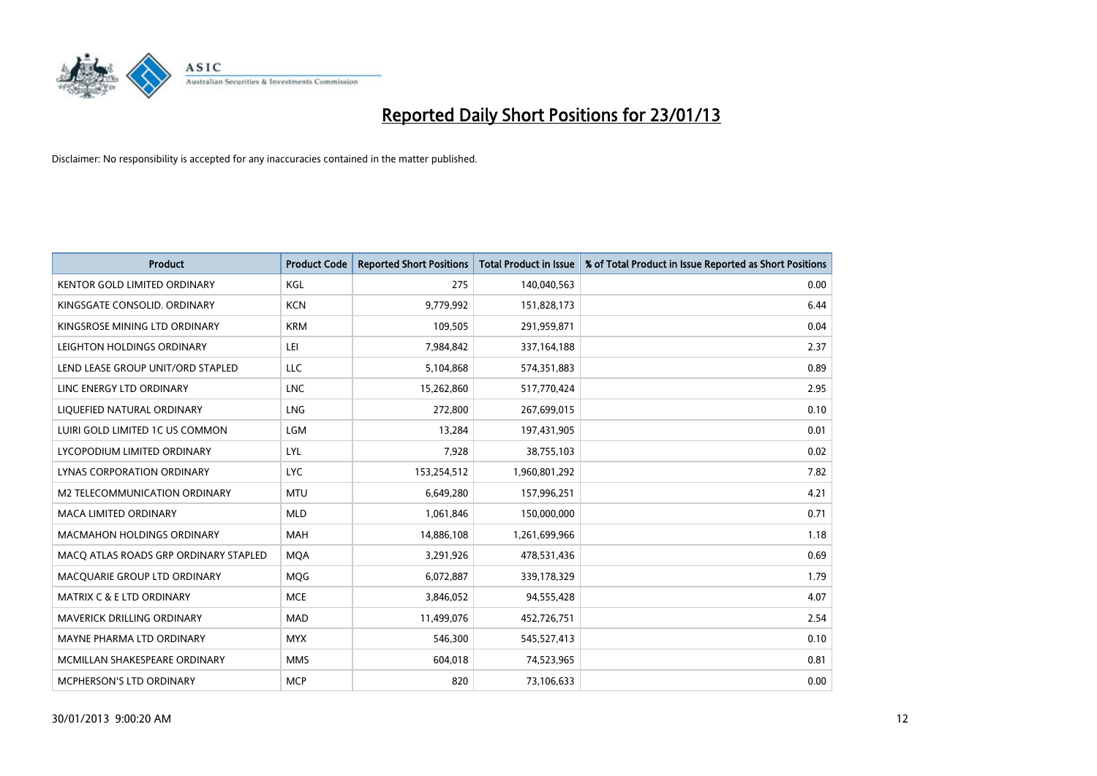

| <b>Product</b>                        | <b>Product Code</b> | <b>Reported Short Positions</b> | <b>Total Product in Issue</b> | % of Total Product in Issue Reported as Short Positions |
|---------------------------------------|---------------------|---------------------------------|-------------------------------|---------------------------------------------------------|
| <b>KENTOR GOLD LIMITED ORDINARY</b>   | KGL                 | 275                             | 140,040,563                   | 0.00                                                    |
| KINGSGATE CONSOLID. ORDINARY          | <b>KCN</b>          | 9,779,992                       | 151,828,173                   | 6.44                                                    |
| KINGSROSE MINING LTD ORDINARY         | <b>KRM</b>          | 109,505                         | 291,959,871                   | 0.04                                                    |
| LEIGHTON HOLDINGS ORDINARY            | LEI                 | 7,984,842                       | 337, 164, 188                 | 2.37                                                    |
| LEND LEASE GROUP UNIT/ORD STAPLED     | LLC                 | 5,104,868                       | 574,351,883                   | 0.89                                                    |
| LINC ENERGY LTD ORDINARY              | <b>LNC</b>          | 15,262,860                      | 517,770,424                   | 2.95                                                    |
| LIQUEFIED NATURAL ORDINARY            | <b>LNG</b>          | 272,800                         | 267,699,015                   | 0.10                                                    |
| LUIRI GOLD LIMITED 1C US COMMON       | LGM                 | 13,284                          | 197,431,905                   | 0.01                                                    |
| LYCOPODIUM LIMITED ORDINARY           | LYL                 | 7,928                           | 38,755,103                    | 0.02                                                    |
| LYNAS CORPORATION ORDINARY            | <b>LYC</b>          | 153,254,512                     | 1,960,801,292                 | 7.82                                                    |
| M2 TELECOMMUNICATION ORDINARY         | <b>MTU</b>          | 6,649,280                       | 157,996,251                   | 4.21                                                    |
| <b>MACA LIMITED ORDINARY</b>          | <b>MLD</b>          | 1,061,846                       | 150,000,000                   | 0.71                                                    |
| <b>MACMAHON HOLDINGS ORDINARY</b>     | <b>MAH</b>          | 14,886,108                      | 1,261,699,966                 | 1.18                                                    |
| MACQ ATLAS ROADS GRP ORDINARY STAPLED | <b>MOA</b>          | 3,291,926                       | 478,531,436                   | 0.69                                                    |
| MACQUARIE GROUP LTD ORDINARY          | <b>MOG</b>          | 6,072,887                       | 339,178,329                   | 1.79                                                    |
| MATRIX C & E LTD ORDINARY             | <b>MCE</b>          | 3,846,052                       | 94,555,428                    | 4.07                                                    |
| <b>MAVERICK DRILLING ORDINARY</b>     | <b>MAD</b>          | 11,499,076                      | 452,726,751                   | 2.54                                                    |
| MAYNE PHARMA LTD ORDINARY             | <b>MYX</b>          | 546,300                         | 545,527,413                   | 0.10                                                    |
| MCMILLAN SHAKESPEARE ORDINARY         | <b>MMS</b>          | 604,018                         | 74,523,965                    | 0.81                                                    |
| <b>MCPHERSON'S LTD ORDINARY</b>       | <b>MCP</b>          | 820                             | 73,106,633                    | 0.00                                                    |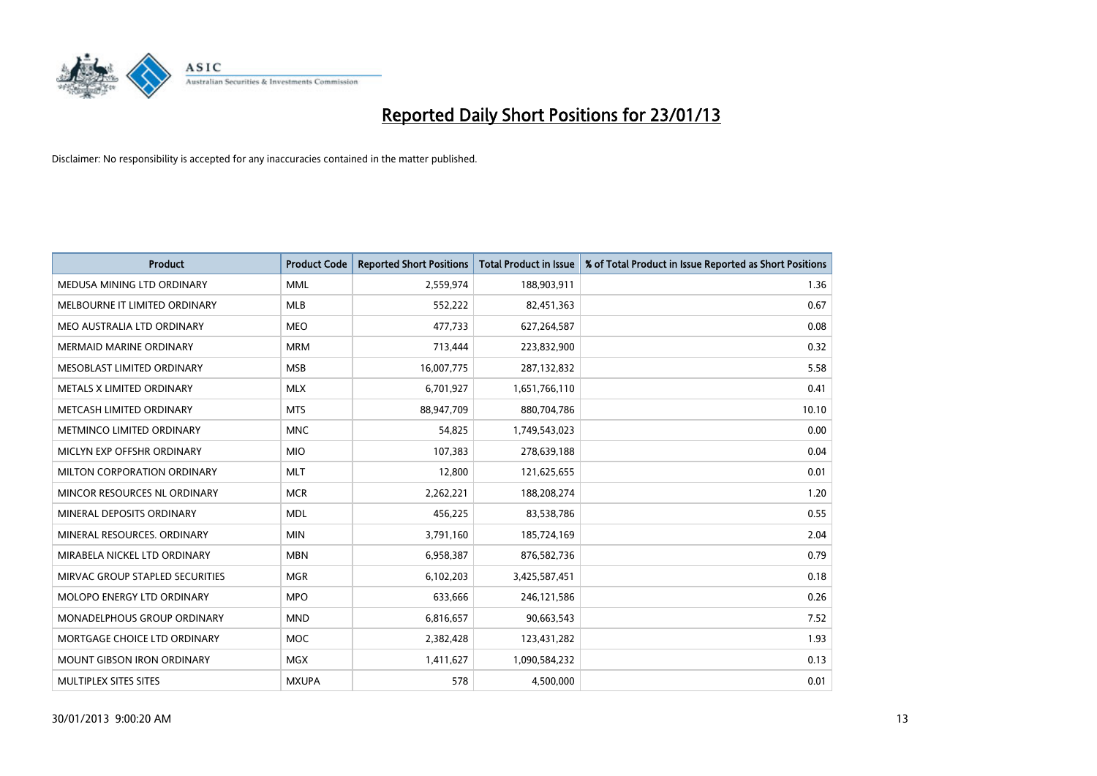

| <b>Product</b>                    | <b>Product Code</b> | <b>Reported Short Positions</b> | <b>Total Product in Issue</b> | % of Total Product in Issue Reported as Short Positions |
|-----------------------------------|---------------------|---------------------------------|-------------------------------|---------------------------------------------------------|
| MEDUSA MINING LTD ORDINARY        | <b>MML</b>          | 2,559,974                       | 188,903,911                   | 1.36                                                    |
| MELBOURNE IT LIMITED ORDINARY     | <b>MLB</b>          | 552,222                         | 82,451,363                    | 0.67                                                    |
| MEO AUSTRALIA LTD ORDINARY        | <b>MEO</b>          | 477,733                         | 627,264,587                   | 0.08                                                    |
| <b>MERMAID MARINE ORDINARY</b>    | <b>MRM</b>          | 713,444                         | 223,832,900                   | 0.32                                                    |
| MESOBLAST LIMITED ORDINARY        | <b>MSB</b>          | 16,007,775                      | 287,132,832                   | 5.58                                                    |
| METALS X LIMITED ORDINARY         | <b>MLX</b>          | 6,701,927                       | 1,651,766,110                 | 0.41                                                    |
| METCASH LIMITED ORDINARY          | <b>MTS</b>          | 88,947,709                      | 880,704,786                   | 10.10                                                   |
| METMINCO LIMITED ORDINARY         | <b>MNC</b>          | 54,825                          | 1,749,543,023                 | 0.00                                                    |
| MICLYN EXP OFFSHR ORDINARY        | <b>MIO</b>          | 107,383                         | 278,639,188                   | 0.04                                                    |
| MILTON CORPORATION ORDINARY       | <b>MLT</b>          | 12,800                          | 121,625,655                   | 0.01                                                    |
| MINCOR RESOURCES NL ORDINARY      | <b>MCR</b>          | 2,262,221                       | 188,208,274                   | 1.20                                                    |
| MINERAL DEPOSITS ORDINARY         | <b>MDL</b>          | 456,225                         | 83,538,786                    | 0.55                                                    |
| MINERAL RESOURCES, ORDINARY       | <b>MIN</b>          | 3,791,160                       | 185,724,169                   | 2.04                                                    |
| MIRABELA NICKEL LTD ORDINARY      | <b>MBN</b>          | 6,958,387                       | 876,582,736                   | 0.79                                                    |
| MIRVAC GROUP STAPLED SECURITIES   | <b>MGR</b>          | 6,102,203                       | 3,425,587,451                 | 0.18                                                    |
| MOLOPO ENERGY LTD ORDINARY        | <b>MPO</b>          | 633,666                         | 246,121,586                   | 0.26                                                    |
| MONADELPHOUS GROUP ORDINARY       | <b>MND</b>          | 6,816,657                       | 90,663,543                    | 7.52                                                    |
| MORTGAGE CHOICE LTD ORDINARY      | <b>MOC</b>          | 2,382,428                       | 123,431,282                   | 1.93                                                    |
| <b>MOUNT GIBSON IRON ORDINARY</b> | <b>MGX</b>          | 1,411,627                       | 1,090,584,232                 | 0.13                                                    |
| MULTIPLEX SITES SITES             | <b>MXUPA</b>        | 578                             | 4,500,000                     | 0.01                                                    |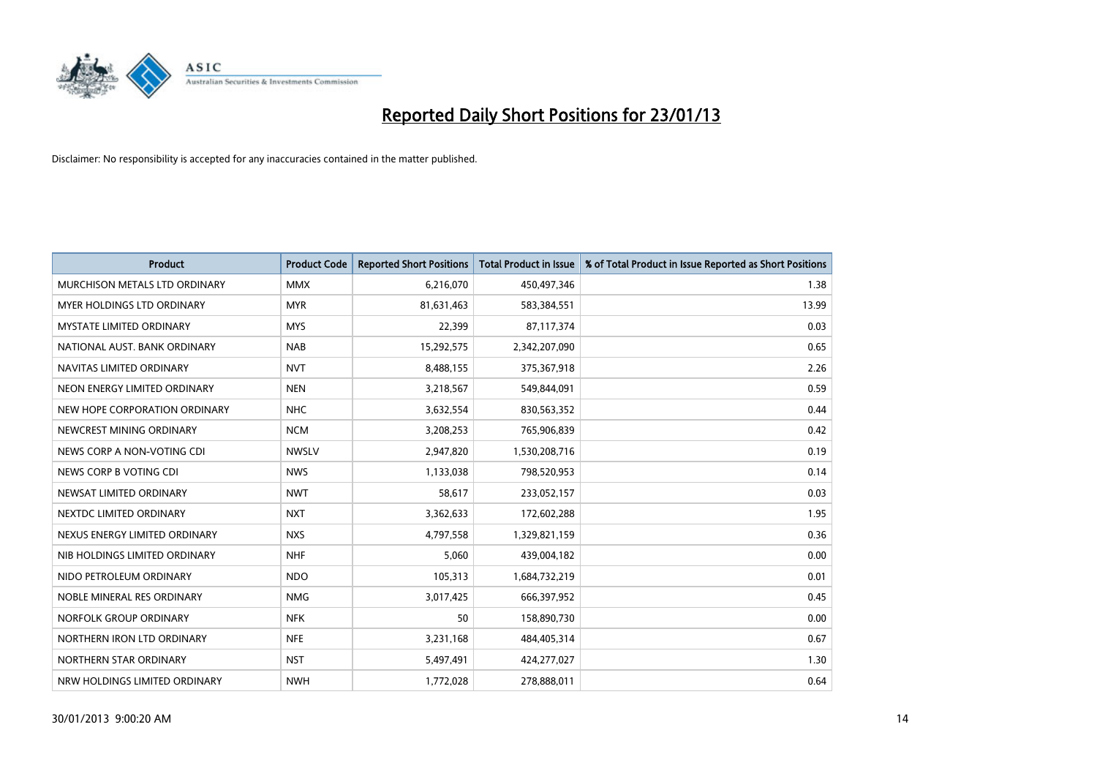

| <b>Product</b>                       | <b>Product Code</b> | <b>Reported Short Positions</b> | <b>Total Product in Issue</b> | % of Total Product in Issue Reported as Short Positions |
|--------------------------------------|---------------------|---------------------------------|-------------------------------|---------------------------------------------------------|
| <b>MURCHISON METALS LTD ORDINARY</b> | <b>MMX</b>          | 6,216,070                       | 450,497,346                   | 1.38                                                    |
| <b>MYER HOLDINGS LTD ORDINARY</b>    | <b>MYR</b>          | 81,631,463                      | 583,384,551                   | 13.99                                                   |
| <b>MYSTATE LIMITED ORDINARY</b>      | <b>MYS</b>          | 22,399                          | 87,117,374                    | 0.03                                                    |
| NATIONAL AUST, BANK ORDINARY         | <b>NAB</b>          | 15,292,575                      | 2,342,207,090                 | 0.65                                                    |
| NAVITAS LIMITED ORDINARY             | <b>NVT</b>          | 8,488,155                       | 375,367,918                   | 2.26                                                    |
| NEON ENERGY LIMITED ORDINARY         | <b>NEN</b>          | 3,218,567                       | 549,844,091                   | 0.59                                                    |
| NEW HOPE CORPORATION ORDINARY        | <b>NHC</b>          | 3,632,554                       | 830,563,352                   | 0.44                                                    |
| NEWCREST MINING ORDINARY             | <b>NCM</b>          | 3,208,253                       | 765,906,839                   | 0.42                                                    |
| NEWS CORP A NON-VOTING CDI           | <b>NWSLV</b>        | 2,947,820                       | 1,530,208,716                 | 0.19                                                    |
| NEWS CORP B VOTING CDI               | <b>NWS</b>          | 1,133,038                       | 798,520,953                   | 0.14                                                    |
| NEWSAT LIMITED ORDINARY              | <b>NWT</b>          | 58,617                          | 233,052,157                   | 0.03                                                    |
| NEXTDC LIMITED ORDINARY              | <b>NXT</b>          | 3,362,633                       | 172,602,288                   | 1.95                                                    |
| NEXUS ENERGY LIMITED ORDINARY        | <b>NXS</b>          | 4,797,558                       | 1,329,821,159                 | 0.36                                                    |
| NIB HOLDINGS LIMITED ORDINARY        | <b>NHF</b>          | 5,060                           | 439,004,182                   | 0.00                                                    |
| NIDO PETROLEUM ORDINARY              | <b>NDO</b>          | 105,313                         | 1,684,732,219                 | 0.01                                                    |
| NOBLE MINERAL RES ORDINARY           | <b>NMG</b>          | 3,017,425                       | 666,397,952                   | 0.45                                                    |
| NORFOLK GROUP ORDINARY               | <b>NFK</b>          | 50                              | 158,890,730                   | 0.00                                                    |
| NORTHERN IRON LTD ORDINARY           | <b>NFE</b>          | 3,231,168                       | 484,405,314                   | 0.67                                                    |
| NORTHERN STAR ORDINARY               | <b>NST</b>          | 5,497,491                       | 424,277,027                   | 1.30                                                    |
| NRW HOLDINGS LIMITED ORDINARY        | <b>NWH</b>          | 1,772,028                       | 278,888,011                   | 0.64                                                    |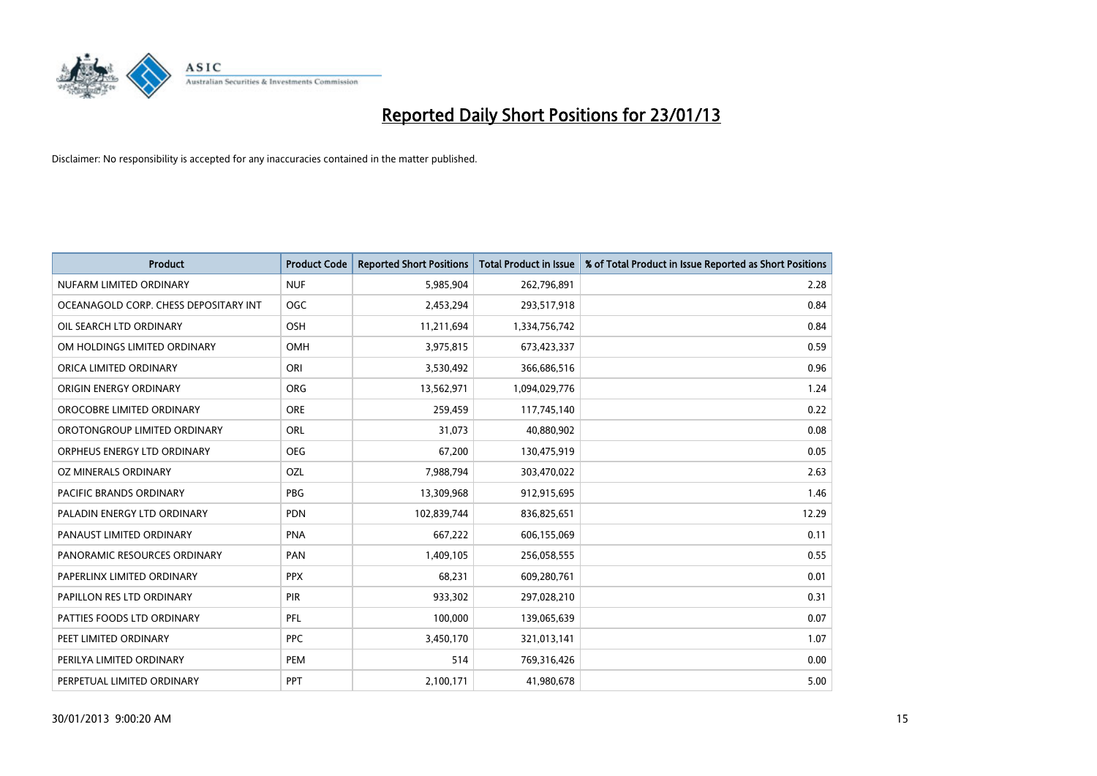

| <b>Product</b>                        | <b>Product Code</b> | <b>Reported Short Positions</b> | <b>Total Product in Issue</b> | % of Total Product in Issue Reported as Short Positions |
|---------------------------------------|---------------------|---------------------------------|-------------------------------|---------------------------------------------------------|
| NUFARM LIMITED ORDINARY               | <b>NUF</b>          | 5,985,904                       | 262,796,891                   | 2.28                                                    |
| OCEANAGOLD CORP. CHESS DEPOSITARY INT | <b>OGC</b>          | 2,453,294                       | 293,517,918                   | 0.84                                                    |
| OIL SEARCH LTD ORDINARY               | <b>OSH</b>          | 11,211,694                      | 1,334,756,742                 | 0.84                                                    |
| OM HOLDINGS LIMITED ORDINARY          | <b>OMH</b>          | 3,975,815                       | 673,423,337                   | 0.59                                                    |
| ORICA LIMITED ORDINARY                | ORI                 | 3,530,492                       | 366,686,516                   | 0.96                                                    |
| ORIGIN ENERGY ORDINARY                | <b>ORG</b>          | 13,562,971                      | 1,094,029,776                 | 1.24                                                    |
| OROCOBRE LIMITED ORDINARY             | <b>ORE</b>          | 259,459                         | 117,745,140                   | 0.22                                                    |
| OROTONGROUP LIMITED ORDINARY          | ORL                 | 31,073                          | 40,880,902                    | 0.08                                                    |
| ORPHEUS ENERGY LTD ORDINARY           | <b>OEG</b>          | 67,200                          | 130,475,919                   | 0.05                                                    |
| OZ MINERALS ORDINARY                  | OZL                 | 7,988,794                       | 303,470,022                   | 2.63                                                    |
| PACIFIC BRANDS ORDINARY               | <b>PBG</b>          | 13,309,968                      | 912,915,695                   | 1.46                                                    |
| PALADIN ENERGY LTD ORDINARY           | <b>PDN</b>          | 102,839,744                     | 836,825,651                   | 12.29                                                   |
| PANAUST LIMITED ORDINARY              | <b>PNA</b>          | 667,222                         | 606,155,069                   | 0.11                                                    |
| PANORAMIC RESOURCES ORDINARY          | PAN                 | 1,409,105                       | 256,058,555                   | 0.55                                                    |
| PAPERLINX LIMITED ORDINARY            | <b>PPX</b>          | 68,231                          | 609,280,761                   | 0.01                                                    |
| PAPILLON RES LTD ORDINARY             | PIR                 | 933,302                         | 297,028,210                   | 0.31                                                    |
| PATTIES FOODS LTD ORDINARY            | PFL                 | 100,000                         | 139,065,639                   | 0.07                                                    |
| PEET LIMITED ORDINARY                 | <b>PPC</b>          | 3,450,170                       | 321,013,141                   | 1.07                                                    |
| PERILYA LIMITED ORDINARY              | PEM                 | 514                             | 769,316,426                   | 0.00                                                    |
| PERPETUAL LIMITED ORDINARY            | <b>PPT</b>          | 2,100,171                       | 41,980,678                    | 5.00                                                    |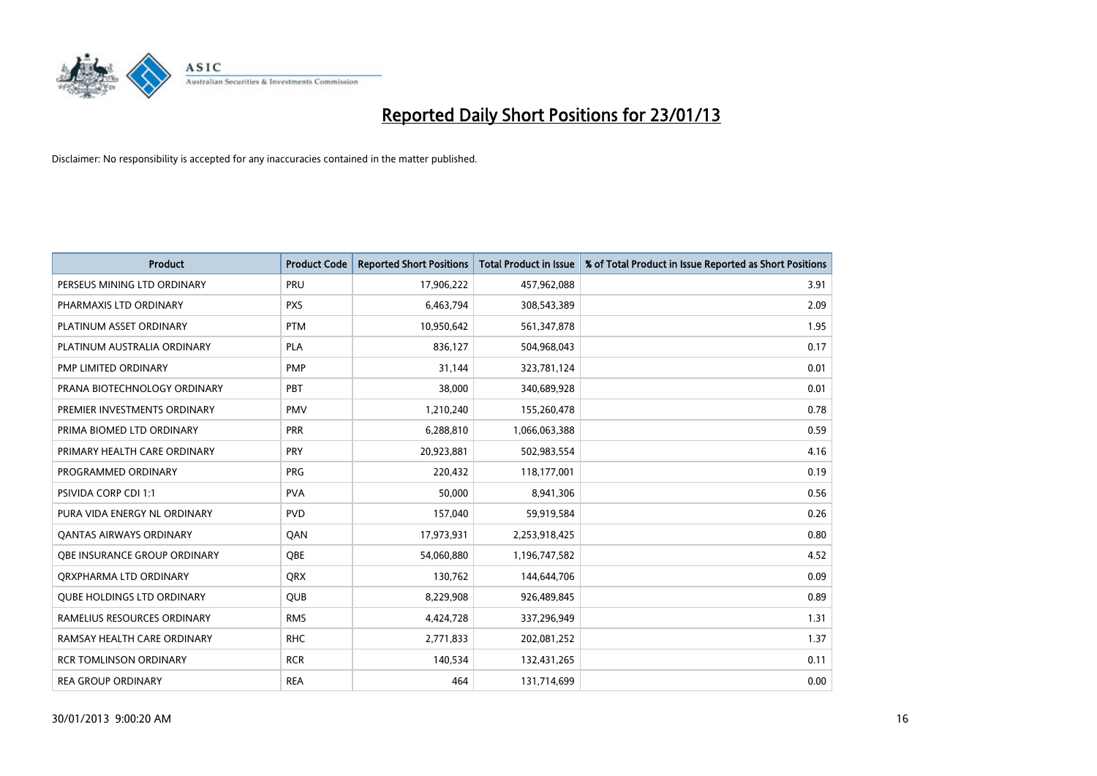

| <b>Product</b>                      | <b>Product Code</b> | <b>Reported Short Positions</b> | <b>Total Product in Issue</b> | % of Total Product in Issue Reported as Short Positions |
|-------------------------------------|---------------------|---------------------------------|-------------------------------|---------------------------------------------------------|
| PERSEUS MINING LTD ORDINARY         | PRU                 | 17,906,222                      | 457,962,088                   | 3.91                                                    |
| PHARMAXIS LTD ORDINARY              | <b>PXS</b>          | 6,463,794                       | 308,543,389                   | 2.09                                                    |
| PLATINUM ASSET ORDINARY             | <b>PTM</b>          | 10,950,642                      | 561,347,878                   | 1.95                                                    |
| PLATINUM AUSTRALIA ORDINARY         | <b>PLA</b>          | 836,127                         | 504,968,043                   | 0.17                                                    |
| PMP LIMITED ORDINARY                | <b>PMP</b>          | 31,144                          | 323,781,124                   | 0.01                                                    |
| PRANA BIOTECHNOLOGY ORDINARY        | PBT                 | 38,000                          | 340,689,928                   | 0.01                                                    |
| PREMIER INVESTMENTS ORDINARY        | <b>PMV</b>          | 1,210,240                       | 155,260,478                   | 0.78                                                    |
| PRIMA BIOMED LTD ORDINARY           | <b>PRR</b>          | 6,288,810                       | 1,066,063,388                 | 0.59                                                    |
| PRIMARY HEALTH CARE ORDINARY        | <b>PRY</b>          | 20,923,881                      | 502,983,554                   | 4.16                                                    |
| PROGRAMMED ORDINARY                 | <b>PRG</b>          | 220,432                         | 118,177,001                   | 0.19                                                    |
| PSIVIDA CORP CDI 1:1                | <b>PVA</b>          | 50,000                          | 8,941,306                     | 0.56                                                    |
| PURA VIDA ENERGY NL ORDINARY        | <b>PVD</b>          | 157,040                         | 59,919,584                    | 0.26                                                    |
| <b>QANTAS AIRWAYS ORDINARY</b>      | QAN                 | 17,973,931                      | 2,253,918,425                 | 0.80                                                    |
| <b>OBE INSURANCE GROUP ORDINARY</b> | <b>OBE</b>          | 54,060,880                      | 1,196,747,582                 | 4.52                                                    |
| ORXPHARMA LTD ORDINARY              | <b>QRX</b>          | 130,762                         | 144,644,706                   | 0.09                                                    |
| <b>QUBE HOLDINGS LTD ORDINARY</b>   | <b>QUB</b>          | 8,229,908                       | 926,489,845                   | 0.89                                                    |
| RAMELIUS RESOURCES ORDINARY         | <b>RMS</b>          | 4,424,728                       | 337,296,949                   | 1.31                                                    |
| RAMSAY HEALTH CARE ORDINARY         | <b>RHC</b>          | 2,771,833                       | 202,081,252                   | 1.37                                                    |
| <b>RCR TOMLINSON ORDINARY</b>       | <b>RCR</b>          | 140,534                         | 132,431,265                   | 0.11                                                    |
| <b>REA GROUP ORDINARY</b>           | <b>REA</b>          | 464                             | 131,714,699                   | 0.00                                                    |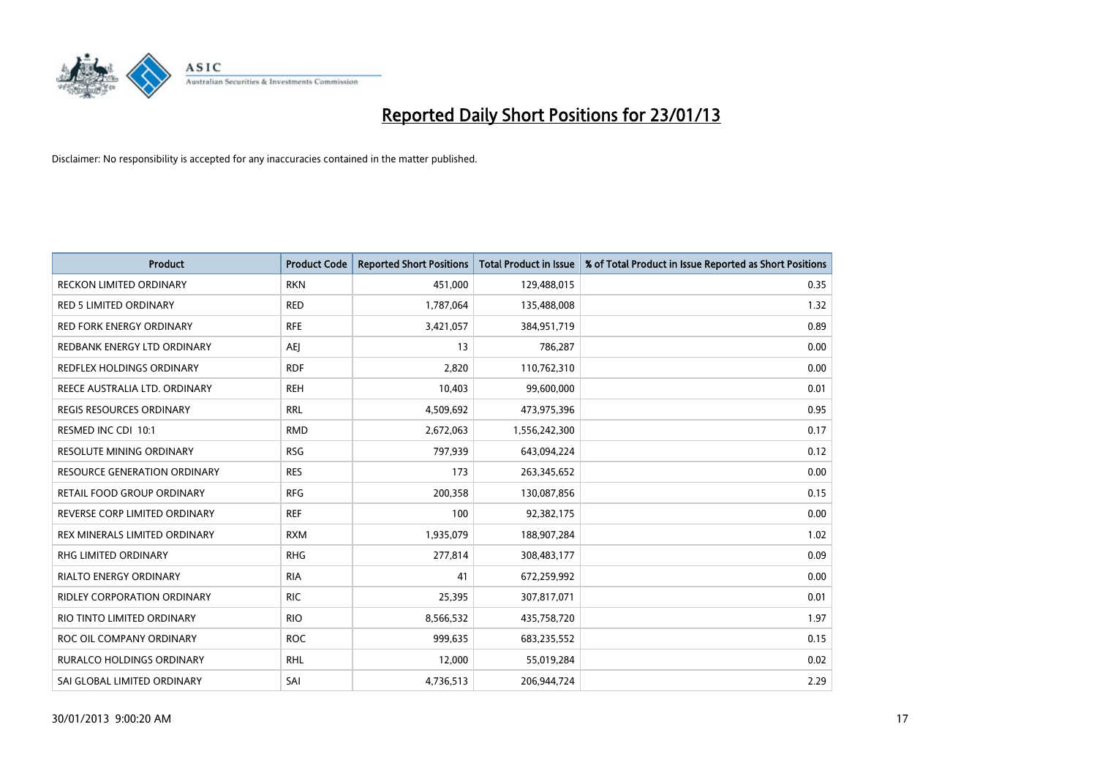

| <b>Product</b>                      | <b>Product Code</b> | <b>Reported Short Positions</b> | <b>Total Product in Issue</b> | % of Total Product in Issue Reported as Short Positions |
|-------------------------------------|---------------------|---------------------------------|-------------------------------|---------------------------------------------------------|
| <b>RECKON LIMITED ORDINARY</b>      | <b>RKN</b>          | 451,000                         | 129,488,015                   | 0.35                                                    |
| <b>RED 5 LIMITED ORDINARY</b>       | <b>RED</b>          | 1,787,064                       | 135,488,008                   | 1.32                                                    |
| <b>RED FORK ENERGY ORDINARY</b>     | <b>RFE</b>          | 3,421,057                       | 384,951,719                   | 0.89                                                    |
| REDBANK ENERGY LTD ORDINARY         | AEJ                 | 13                              | 786,287                       | 0.00                                                    |
| REDFLEX HOLDINGS ORDINARY           | <b>RDF</b>          | 2,820                           | 110,762,310                   | 0.00                                                    |
| REECE AUSTRALIA LTD. ORDINARY       | <b>REH</b>          | 10,403                          | 99,600,000                    | 0.01                                                    |
| <b>REGIS RESOURCES ORDINARY</b>     | <b>RRL</b>          | 4,509,692                       | 473,975,396                   | 0.95                                                    |
| RESMED INC CDI 10:1                 | <b>RMD</b>          | 2,672,063                       | 1,556,242,300                 | 0.17                                                    |
| <b>RESOLUTE MINING ORDINARY</b>     | <b>RSG</b>          | 797,939                         | 643,094,224                   | 0.12                                                    |
| <b>RESOURCE GENERATION ORDINARY</b> | <b>RES</b>          | 173                             | 263,345,652                   | 0.00                                                    |
| RETAIL FOOD GROUP ORDINARY          | <b>RFG</b>          | 200,358                         | 130,087,856                   | 0.15                                                    |
| REVERSE CORP LIMITED ORDINARY       | <b>REF</b>          | 100                             | 92,382,175                    | 0.00                                                    |
| REX MINERALS LIMITED ORDINARY       | <b>RXM</b>          | 1,935,079                       | 188,907,284                   | 1.02                                                    |
| <b>RHG LIMITED ORDINARY</b>         | <b>RHG</b>          | 277,814                         | 308,483,177                   | 0.09                                                    |
| <b>RIALTO ENERGY ORDINARY</b>       | <b>RIA</b>          | 41                              | 672,259,992                   | 0.00                                                    |
| RIDLEY CORPORATION ORDINARY         | <b>RIC</b>          | 25,395                          | 307,817,071                   | 0.01                                                    |
| RIO TINTO LIMITED ORDINARY          | <b>RIO</b>          | 8,566,532                       | 435,758,720                   | 1.97                                                    |
| ROC OIL COMPANY ORDINARY            | <b>ROC</b>          | 999,635                         | 683,235,552                   | 0.15                                                    |
| <b>RURALCO HOLDINGS ORDINARY</b>    | <b>RHL</b>          | 12,000                          | 55,019,284                    | 0.02                                                    |
| SAI GLOBAL LIMITED ORDINARY         | SAI                 | 4,736,513                       | 206,944,724                   | 2.29                                                    |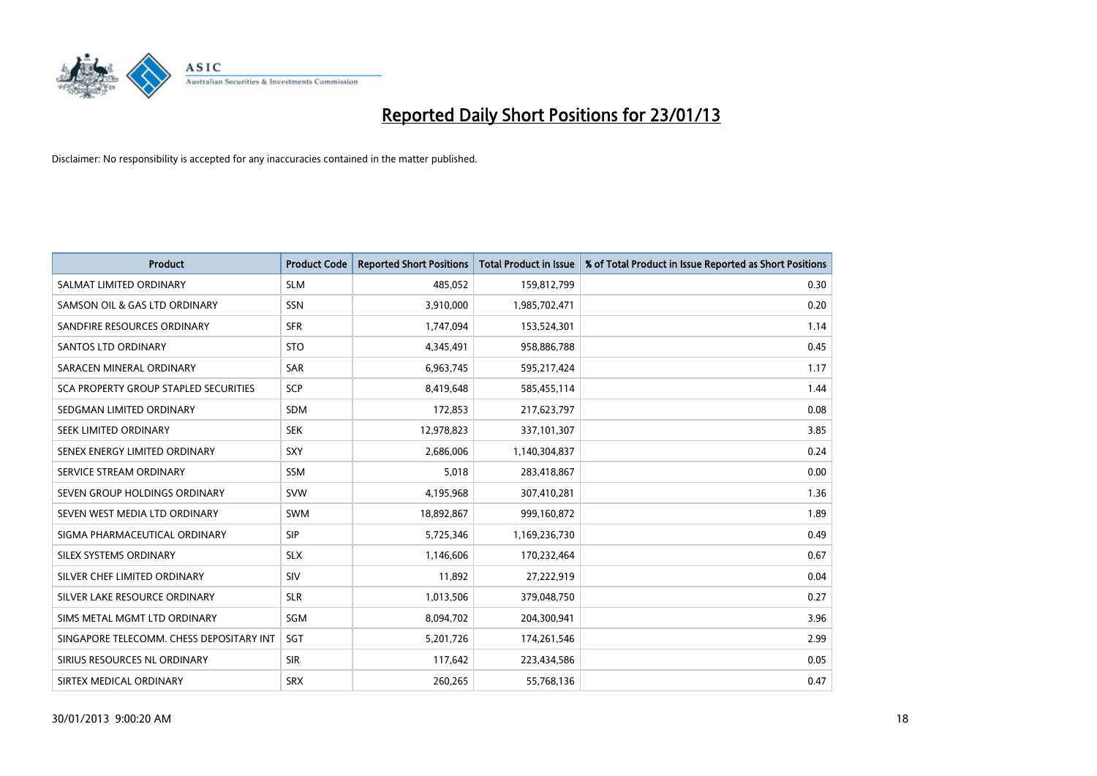

| <b>Product</b>                           | <b>Product Code</b> | <b>Reported Short Positions</b> | <b>Total Product in Issue</b> | % of Total Product in Issue Reported as Short Positions |
|------------------------------------------|---------------------|---------------------------------|-------------------------------|---------------------------------------------------------|
| SALMAT LIMITED ORDINARY                  | <b>SLM</b>          | 485,052                         | 159,812,799                   | 0.30                                                    |
| SAMSON OIL & GAS LTD ORDINARY            | <b>SSN</b>          | 3,910,000                       | 1,985,702,471                 | 0.20                                                    |
| SANDFIRE RESOURCES ORDINARY              | <b>SFR</b>          | 1,747,094                       | 153,524,301                   | 1.14                                                    |
| <b>SANTOS LTD ORDINARY</b>               | <b>STO</b>          | 4,345,491                       | 958,886,788                   | 0.45                                                    |
| SARACEN MINERAL ORDINARY                 | <b>SAR</b>          | 6,963,745                       | 595,217,424                   | 1.17                                                    |
| SCA PROPERTY GROUP STAPLED SECURITIES    | SCP                 | 8,419,648                       | 585,455,114                   | 1.44                                                    |
| SEDGMAN LIMITED ORDINARY                 | <b>SDM</b>          | 172,853                         | 217,623,797                   | 0.08                                                    |
| SEEK LIMITED ORDINARY                    | <b>SEK</b>          | 12,978,823                      | 337,101,307                   | 3.85                                                    |
| SENEX ENERGY LIMITED ORDINARY            | <b>SXY</b>          | 2,686,006                       | 1,140,304,837                 | 0.24                                                    |
| SERVICE STREAM ORDINARY                  | <b>SSM</b>          | 5,018                           | 283,418,867                   | 0.00                                                    |
| SEVEN GROUP HOLDINGS ORDINARY            | <b>SVW</b>          | 4,195,968                       | 307,410,281                   | 1.36                                                    |
| SEVEN WEST MEDIA LTD ORDINARY            | <b>SWM</b>          | 18,892,867                      | 999,160,872                   | 1.89                                                    |
| SIGMA PHARMACEUTICAL ORDINARY            | <b>SIP</b>          | 5,725,346                       | 1,169,236,730                 | 0.49                                                    |
| SILEX SYSTEMS ORDINARY                   | <b>SLX</b>          | 1,146,606                       | 170,232,464                   | 0.67                                                    |
| SILVER CHEF LIMITED ORDINARY             | SIV                 | 11,892                          | 27,222,919                    | 0.04                                                    |
| SILVER LAKE RESOURCE ORDINARY            | <b>SLR</b>          | 1,013,506                       | 379,048,750                   | 0.27                                                    |
| SIMS METAL MGMT LTD ORDINARY             | SGM                 | 8,094,702                       | 204,300,941                   | 3.96                                                    |
| SINGAPORE TELECOMM. CHESS DEPOSITARY INT | <b>SGT</b>          | 5,201,726                       | 174,261,546                   | 2.99                                                    |
| SIRIUS RESOURCES NL ORDINARY             | <b>SIR</b>          | 117,642                         | 223,434,586                   | 0.05                                                    |
| SIRTEX MEDICAL ORDINARY                  | <b>SRX</b>          | 260,265                         | 55,768,136                    | 0.47                                                    |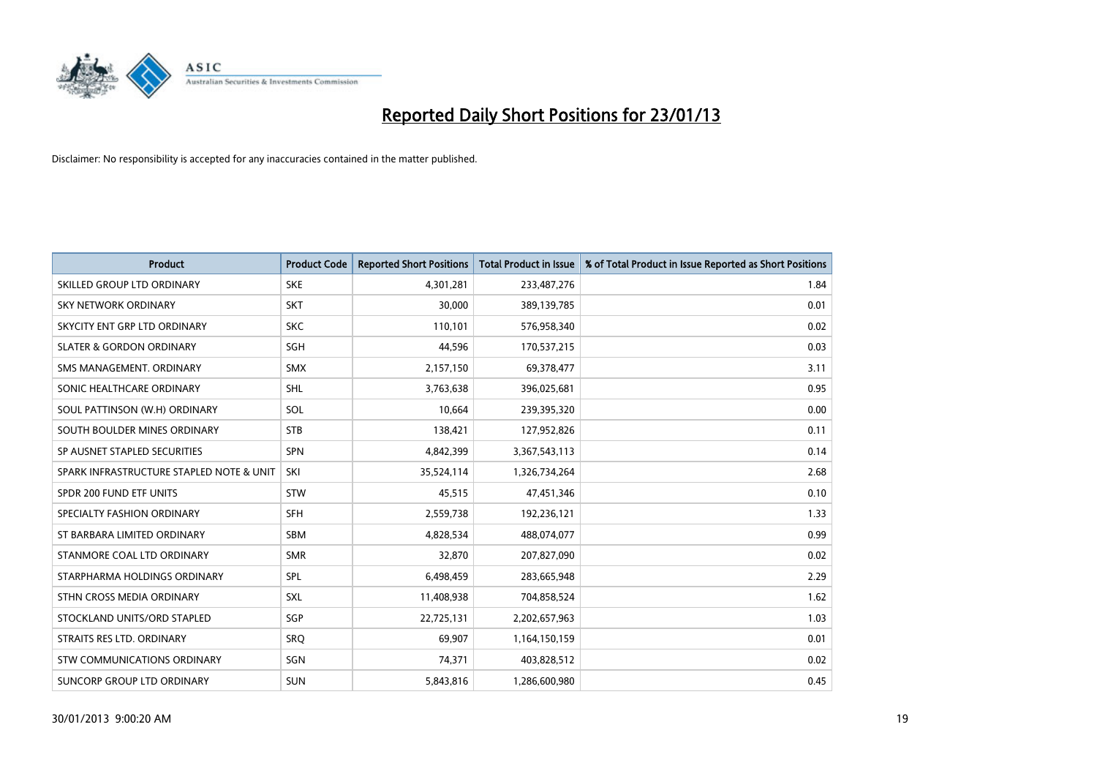

| <b>Product</b>                           | <b>Product Code</b> | <b>Reported Short Positions</b> | <b>Total Product in Issue</b> | % of Total Product in Issue Reported as Short Positions |
|------------------------------------------|---------------------|---------------------------------|-------------------------------|---------------------------------------------------------|
| SKILLED GROUP LTD ORDINARY               | <b>SKE</b>          | 4,301,281                       | 233,487,276                   | 1.84                                                    |
| SKY NETWORK ORDINARY                     | <b>SKT</b>          | 30,000                          | 389,139,785                   | 0.01                                                    |
| SKYCITY ENT GRP LTD ORDINARY             | <b>SKC</b>          | 110,101                         | 576,958,340                   | 0.02                                                    |
| <b>SLATER &amp; GORDON ORDINARY</b>      | <b>SGH</b>          | 44,596                          | 170,537,215                   | 0.03                                                    |
| SMS MANAGEMENT, ORDINARY                 | <b>SMX</b>          | 2,157,150                       | 69,378,477                    | 3.11                                                    |
| SONIC HEALTHCARE ORDINARY                | <b>SHL</b>          | 3,763,638                       | 396,025,681                   | 0.95                                                    |
| SOUL PATTINSON (W.H) ORDINARY            | SOL                 | 10,664                          | 239,395,320                   | 0.00                                                    |
| SOUTH BOULDER MINES ORDINARY             | <b>STB</b>          | 138,421                         | 127,952,826                   | 0.11                                                    |
| SP AUSNET STAPLED SECURITIES             | <b>SPN</b>          | 4,842,399                       | 3,367,543,113                 | 0.14                                                    |
| SPARK INFRASTRUCTURE STAPLED NOTE & UNIT | SKI                 | 35,524,114                      | 1,326,734,264                 | 2.68                                                    |
| SPDR 200 FUND ETF UNITS                  | <b>STW</b>          | 45,515                          | 47,451,346                    | 0.10                                                    |
| SPECIALTY FASHION ORDINARY               | <b>SFH</b>          | 2,559,738                       | 192,236,121                   | 1.33                                                    |
| ST BARBARA LIMITED ORDINARY              | <b>SBM</b>          | 4,828,534                       | 488,074,077                   | 0.99                                                    |
| STANMORE COAL LTD ORDINARY               | <b>SMR</b>          | 32,870                          | 207,827,090                   | 0.02                                                    |
| STARPHARMA HOLDINGS ORDINARY             | SPL                 | 6,498,459                       | 283,665,948                   | 2.29                                                    |
| STHN CROSS MEDIA ORDINARY                | SXL                 | 11,408,938                      | 704,858,524                   | 1.62                                                    |
| STOCKLAND UNITS/ORD STAPLED              | <b>SGP</b>          | 22,725,131                      | 2,202,657,963                 | 1.03                                                    |
| STRAITS RES LTD. ORDINARY                | SRQ                 | 69,907                          | 1,164,150,159                 | 0.01                                                    |
| STW COMMUNICATIONS ORDINARY              | SGN                 | 74,371                          | 403,828,512                   | 0.02                                                    |
| SUNCORP GROUP LTD ORDINARY               | <b>SUN</b>          | 5,843,816                       | 1,286,600,980                 | 0.45                                                    |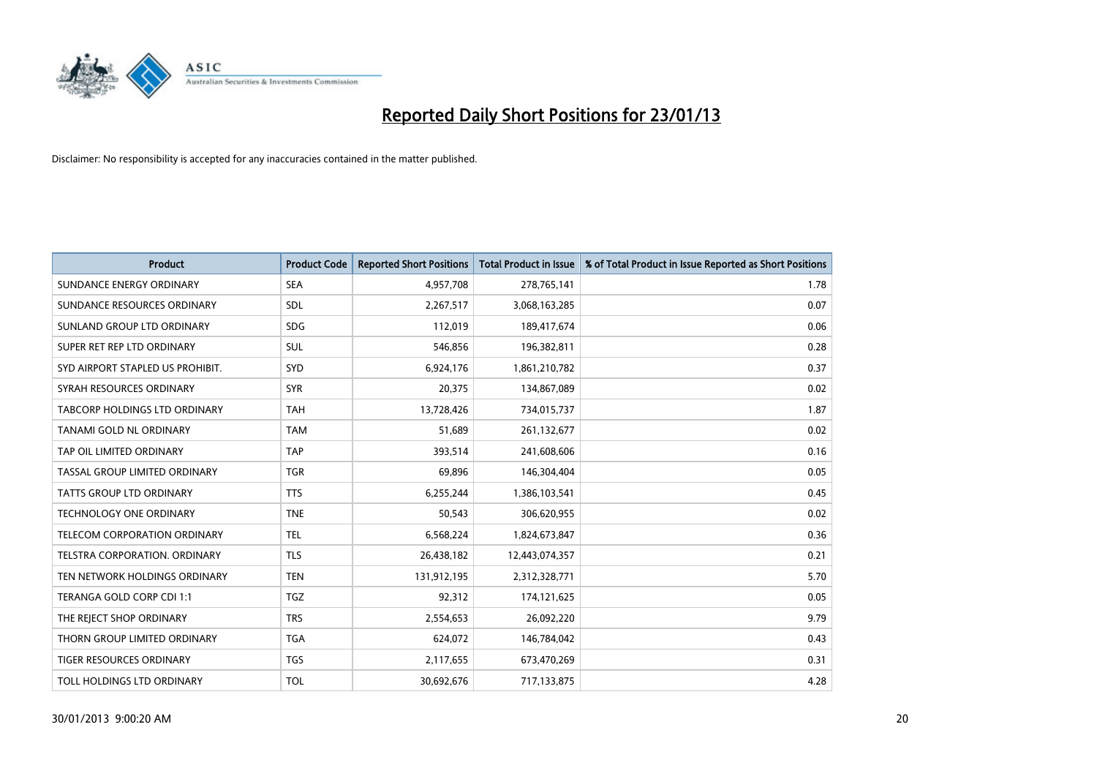

| <b>Product</b>                       | <b>Product Code</b> | <b>Reported Short Positions</b> | <b>Total Product in Issue</b> | % of Total Product in Issue Reported as Short Positions |
|--------------------------------------|---------------------|---------------------------------|-------------------------------|---------------------------------------------------------|
| SUNDANCE ENERGY ORDINARY             | <b>SEA</b>          | 4,957,708                       | 278,765,141                   | 1.78                                                    |
| SUNDANCE RESOURCES ORDINARY          | <b>SDL</b>          | 2,267,517                       | 3,068,163,285                 | 0.07                                                    |
| SUNLAND GROUP LTD ORDINARY           | <b>SDG</b>          | 112,019                         | 189,417,674                   | 0.06                                                    |
| SUPER RET REP LTD ORDINARY           | <b>SUL</b>          | 546,856                         | 196,382,811                   | 0.28                                                    |
| SYD AIRPORT STAPLED US PROHIBIT.     | <b>SYD</b>          | 6,924,176                       | 1,861,210,782                 | 0.37                                                    |
| SYRAH RESOURCES ORDINARY             | <b>SYR</b>          | 20,375                          | 134,867,089                   | 0.02                                                    |
| <b>TABCORP HOLDINGS LTD ORDINARY</b> | <b>TAH</b>          | 13,728,426                      | 734,015,737                   | 1.87                                                    |
| TANAMI GOLD NL ORDINARY              | <b>TAM</b>          | 51,689                          | 261,132,677                   | 0.02                                                    |
| TAP OIL LIMITED ORDINARY             | <b>TAP</b>          | 393,514                         | 241,608,606                   | 0.16                                                    |
| TASSAL GROUP LIMITED ORDINARY        | <b>TGR</b>          | 69,896                          | 146,304,404                   | 0.05                                                    |
| TATTS GROUP LTD ORDINARY             | <b>TTS</b>          | 6,255,244                       | 1,386,103,541                 | 0.45                                                    |
| TECHNOLOGY ONE ORDINARY              | <b>TNE</b>          | 50,543                          | 306,620,955                   | 0.02                                                    |
| <b>TELECOM CORPORATION ORDINARY</b>  | <b>TEL</b>          | 6,568,224                       | 1,824,673,847                 | 0.36                                                    |
| <b>TELSTRA CORPORATION, ORDINARY</b> | <b>TLS</b>          | 26,438,182                      | 12,443,074,357                | 0.21                                                    |
| TEN NETWORK HOLDINGS ORDINARY        | <b>TEN</b>          | 131,912,195                     | 2,312,328,771                 | 5.70                                                    |
| TERANGA GOLD CORP CDI 1:1            | <b>TGZ</b>          | 92,312                          | 174,121,625                   | 0.05                                                    |
| THE REJECT SHOP ORDINARY             | <b>TRS</b>          | 2,554,653                       | 26,092,220                    | 9.79                                                    |
| THORN GROUP LIMITED ORDINARY         | <b>TGA</b>          | 624,072                         | 146,784,042                   | 0.43                                                    |
| TIGER RESOURCES ORDINARY             | <b>TGS</b>          | 2,117,655                       | 673,470,269                   | 0.31                                                    |
| TOLL HOLDINGS LTD ORDINARY           | <b>TOL</b>          | 30,692,676                      | 717,133,875                   | 4.28                                                    |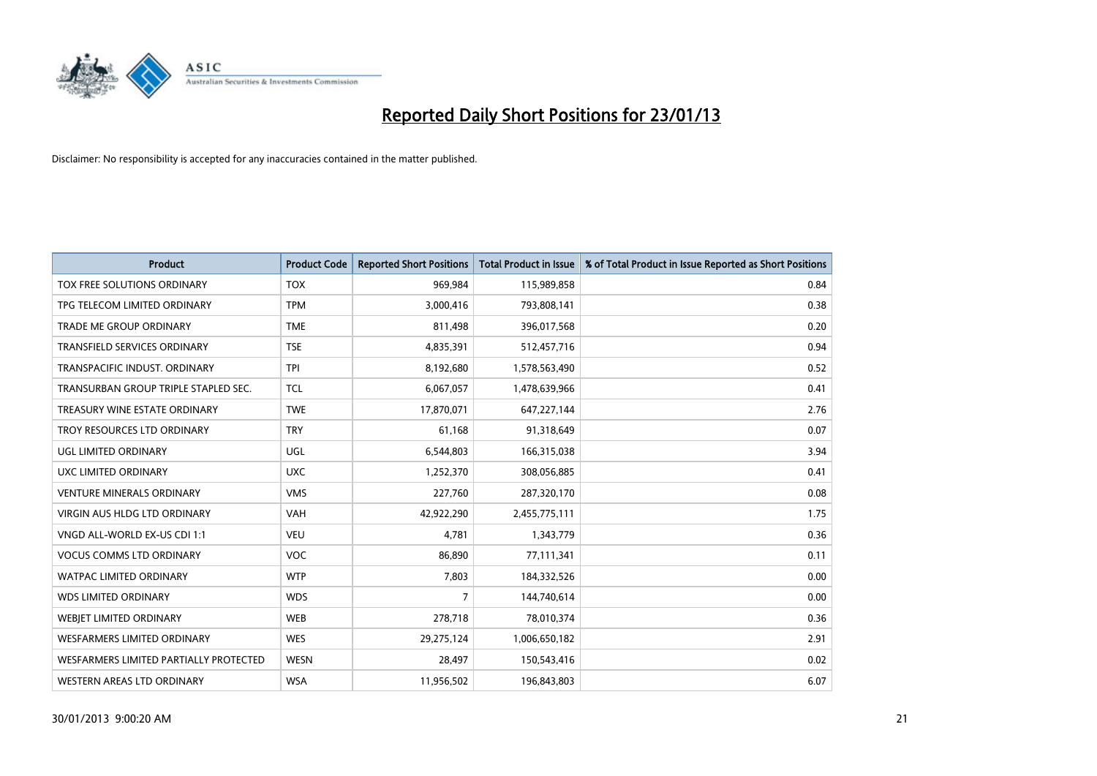

| <b>Product</b>                         | <b>Product Code</b> | <b>Reported Short Positions</b> | <b>Total Product in Issue</b> | % of Total Product in Issue Reported as Short Positions |
|----------------------------------------|---------------------|---------------------------------|-------------------------------|---------------------------------------------------------|
| TOX FREE SOLUTIONS ORDINARY            | <b>TOX</b>          | 969,984                         | 115,989,858                   | 0.84                                                    |
| TPG TELECOM LIMITED ORDINARY           | <b>TPM</b>          | 3,000,416                       | 793,808,141                   | 0.38                                                    |
| <b>TRADE ME GROUP ORDINARY</b>         | <b>TME</b>          | 811,498                         | 396,017,568                   | 0.20                                                    |
| TRANSFIELD SERVICES ORDINARY           | <b>TSE</b>          | 4,835,391                       | 512,457,716                   | 0.94                                                    |
| TRANSPACIFIC INDUST, ORDINARY          | <b>TPI</b>          | 8,192,680                       | 1,578,563,490                 | 0.52                                                    |
| TRANSURBAN GROUP TRIPLE STAPLED SEC.   | <b>TCL</b>          | 6,067,057                       | 1,478,639,966                 | 0.41                                                    |
| TREASURY WINE ESTATE ORDINARY          | <b>TWE</b>          | 17,870,071                      | 647,227,144                   | 2.76                                                    |
| TROY RESOURCES LTD ORDINARY            | <b>TRY</b>          | 61,168                          | 91,318,649                    | 0.07                                                    |
| <b>UGL LIMITED ORDINARY</b>            | UGL                 | 6,544,803                       | 166,315,038                   | 3.94                                                    |
| UXC LIMITED ORDINARY                   | <b>UXC</b>          | 1,252,370                       | 308,056,885                   | 0.41                                                    |
| <b>VENTURE MINERALS ORDINARY</b>       | <b>VMS</b>          | 227,760                         | 287,320,170                   | 0.08                                                    |
| <b>VIRGIN AUS HLDG LTD ORDINARY</b>    | <b>VAH</b>          | 42,922,290                      | 2,455,775,111                 | 1.75                                                    |
| VNGD ALL-WORLD EX-US CDI 1:1           | <b>VEU</b>          | 4,781                           | 1,343,779                     | 0.36                                                    |
| <b>VOCUS COMMS LTD ORDINARY</b>        | <b>VOC</b>          | 86,890                          | 77,111,341                    | 0.11                                                    |
| <b>WATPAC LIMITED ORDINARY</b>         | <b>WTP</b>          | 7,803                           | 184,332,526                   | 0.00                                                    |
| <b>WDS LIMITED ORDINARY</b>            | <b>WDS</b>          | 7                               | 144,740,614                   | 0.00                                                    |
| WEBIET LIMITED ORDINARY                | <b>WEB</b>          | 278,718                         | 78,010,374                    | 0.36                                                    |
| <b>WESFARMERS LIMITED ORDINARY</b>     | <b>WES</b>          | 29,275,124                      | 1,006,650,182                 | 2.91                                                    |
| WESFARMERS LIMITED PARTIALLY PROTECTED | <b>WESN</b>         | 28,497                          | 150,543,416                   | 0.02                                                    |
| WESTERN AREAS LTD ORDINARY             | <b>WSA</b>          | 11,956,502                      | 196,843,803                   | 6.07                                                    |